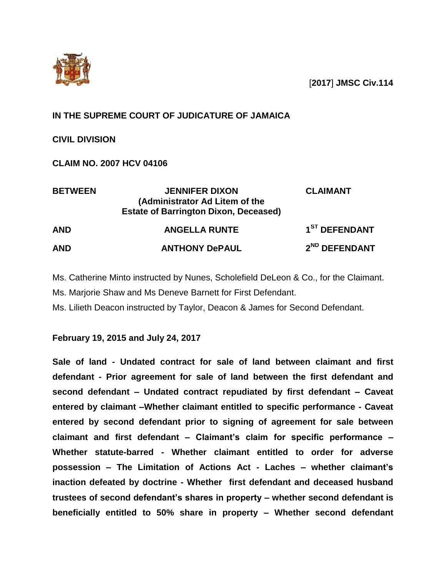

[**2017**] **JMSC Civ.114**

# **IN THE SUPREME COURT OF JUDICATURE OF JAMAICA**

**CIVIL DIVISION**

**CLAIM NO. 2007 HCV 04106**

| <b>BETWEEN</b> | <b>JENNIFER DIXON</b><br>(Administrator Ad Litem of the<br><b>Estate of Barrington Dixon, Deceased)</b> | <b>CLAIMANT</b>           |  |
|----------------|---------------------------------------------------------------------------------------------------------|---------------------------|--|
| <b>AND</b>     | <b>ANGELLA RUNTE</b>                                                                                    | 1 <sup>ST</sup> DEFENDANT |  |
| <b>AND</b>     | <b>ANTHONY DePAUL</b>                                                                                   | 2 <sup>ND</sup> DEFENDANT |  |

Ms. Catherine Minto instructed by Nunes, Scholefield DeLeon & Co., for the Claimant. Ms. Marjorie Shaw and Ms Deneve Barnett for First Defendant.

Ms. Lilieth Deacon instructed by Taylor, Deacon & James for Second Defendant.

**February 19, 2015 and July 24, 2017**

**Sale of land - Undated contract for sale of land between claimant and first defendant - Prior agreement for sale of land between the first defendant and second defendant – Undated contract repudiated by first defendant – Caveat entered by claimant –Whether claimant entitled to specific performance - Caveat entered by second defendant prior to signing of agreement for sale between claimant and first defendant – Claimant's claim for specific performance – Whether statute-barred - Whether claimant entitled to order for adverse possession – The Limitation of Actions Act - Laches – whether claimant's inaction defeated by doctrine - Whether first defendant and deceased husband trustees of second defendant's shares in property – whether second defendant is beneficially entitled to 50% share in property – Whether second defendant**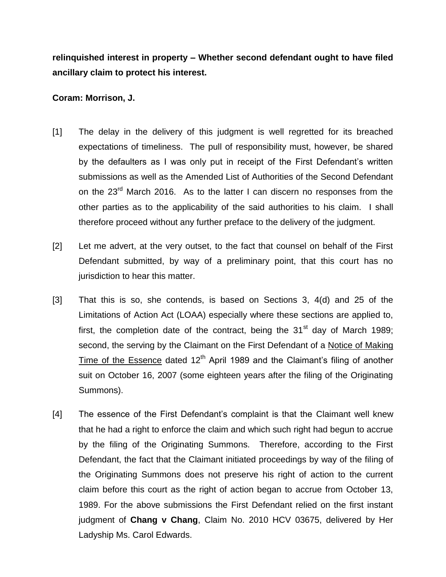**relinquished interest in property – Whether second defendant ought to have filed ancillary claim to protect his interest.**

#### **Coram: Morrison, J.**

- [1] The delay in the delivery of this judgment is well regretted for its breached expectations of timeliness. The pull of responsibility must, however, be shared by the defaulters as I was only put in receipt of the First Defendant's written submissions as well as the Amended List of Authorities of the Second Defendant on the  $23<sup>rd</sup>$  March 2016. As to the latter I can discern no responses from the other parties as to the applicability of the said authorities to his claim. I shall therefore proceed without any further preface to the delivery of the judgment.
- [2] Let me advert, at the very outset, to the fact that counsel on behalf of the First Defendant submitted, by way of a preliminary point, that this court has no jurisdiction to hear this matter.
- [3] That this is so, she contends, is based on Sections 3, 4(d) and 25 of the Limitations of Action Act (LOAA) especially where these sections are applied to, first, the completion date of the contract, being the  $31<sup>st</sup>$  day of March 1989; second, the serving by the Claimant on the First Defendant of a Notice of Making Time of the Essence dated  $12<sup>th</sup>$  April 1989 and the Claimant's filing of another suit on October 16, 2007 (some eighteen years after the filing of the Originating Summons).
- [4] The essence of the First Defendant's complaint is that the Claimant well knew that he had a right to enforce the claim and which such right had begun to accrue by the filing of the Originating Summons. Therefore, according to the First Defendant, the fact that the Claimant initiated proceedings by way of the filing of the Originating Summons does not preserve his right of action to the current claim before this court as the right of action began to accrue from October 13, 1989. For the above submissions the First Defendant relied on the first instant judgment of **Chang v Chang**, Claim No. 2010 HCV 03675, delivered by Her Ladyship Ms. Carol Edwards.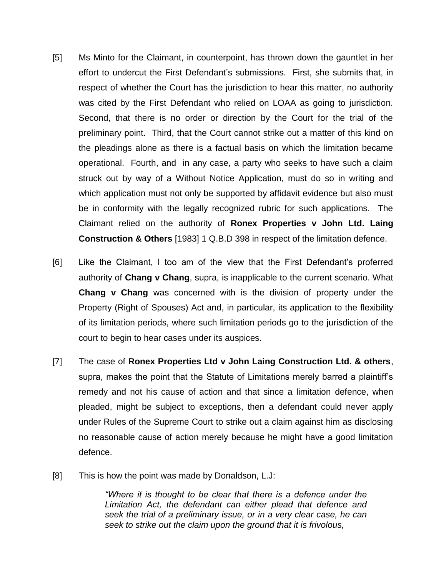- [5] Ms Minto for the Claimant, in counterpoint, has thrown down the gauntlet in her effort to undercut the First Defendant's submissions. First, she submits that, in respect of whether the Court has the jurisdiction to hear this matter, no authority was cited by the First Defendant who relied on LOAA as going to jurisdiction. Second, that there is no order or direction by the Court for the trial of the preliminary point. Third, that the Court cannot strike out a matter of this kind on the pleadings alone as there is a factual basis on which the limitation became operational. Fourth, and in any case, a party who seeks to have such a claim struck out by way of a Without Notice Application, must do so in writing and which application must not only be supported by affidavit evidence but also must be in conformity with the legally recognized rubric for such applications. The Claimant relied on the authority of **Ronex Properties v John Ltd. Laing Construction & Others** [1983] 1 Q.B.D 398 in respect of the limitation defence.
- [6] Like the Claimant, I too am of the view that the First Defendant's proferred authority of **Chang v Chang**, supra, is inapplicable to the current scenario. What **Chang v Chang** was concerned with is the division of property under the Property (Right of Spouses) Act and, in particular, its application to the flexibility of its limitation periods, where such limitation periods go to the jurisdiction of the court to begin to hear cases under its auspices.
- [7] The case of **Ronex Properties Ltd v John Laing Construction Ltd. & others**, supra, makes the point that the Statute of Limitations merely barred a plaintiff's remedy and not his cause of action and that since a limitation defence, when pleaded, might be subject to exceptions, then a defendant could never apply under Rules of the Supreme Court to strike out a claim against him as disclosing no reasonable cause of action merely because he might have a good limitation defence.
- [8] This is how the point was made by Donaldson, L.J:

*"Where it is thought to be clear that there is a defence under the Limitation Act, the defendant can either plead that defence and seek the trial of a preliminary issue, or in a very clear case, he can seek to strike out the claim upon the ground that it is frivolous,*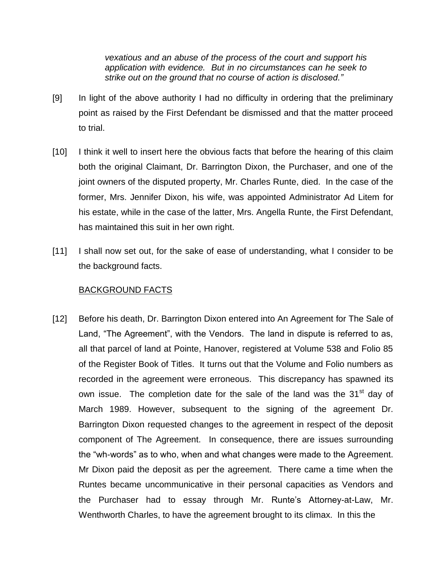*vexatious and an abuse of the process of the court and support his application with evidence. But in no circumstances can he seek to strike out on the ground that no course of action is disclosed."*

- [9] In light of the above authority I had no difficulty in ordering that the preliminary point as raised by the First Defendant be dismissed and that the matter proceed to trial.
- [10] I think it well to insert here the obvious facts that before the hearing of this claim both the original Claimant, Dr. Barrington Dixon, the Purchaser, and one of the joint owners of the disputed property, Mr. Charles Runte, died. In the case of the former, Mrs. Jennifer Dixon, his wife, was appointed Administrator Ad Litem for his estate, while in the case of the latter, Mrs. Angella Runte, the First Defendant, has maintained this suit in her own right.
- [11] I shall now set out, for the sake of ease of understanding, what I consider to be the background facts.

#### BACKGROUND FACTS

[12] Before his death, Dr. Barrington Dixon entered into An Agreement for The Sale of Land, "The Agreement", with the Vendors. The land in dispute is referred to as, all that parcel of land at Pointe, Hanover, registered at Volume 538 and Folio 85 of the Register Book of Titles. It turns out that the Volume and Folio numbers as recorded in the agreement were erroneous. This discrepancy has spawned its own issue. The completion date for the sale of the land was the 31<sup>st</sup> day of March 1989. However, subsequent to the signing of the agreement Dr. Barrington Dixon requested changes to the agreement in respect of the deposit component of The Agreement. In consequence, there are issues surrounding the "wh-words" as to who, when and what changes were made to the Agreement. Mr Dixon paid the deposit as per the agreement. There came a time when the Runtes became uncommunicative in their personal capacities as Vendors and the Purchaser had to essay through Mr. Runte's Attorney-at-Law, Mr. Wenthworth Charles, to have the agreement brought to its climax. In this the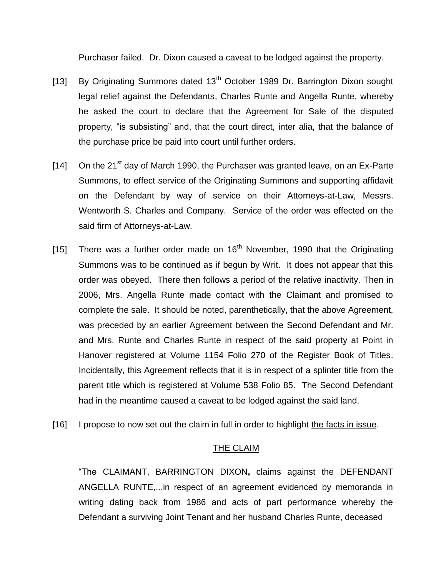Purchaser failed. Dr. Dixon caused a caveat to be lodged against the property.

- [13] By Originating Summons dated  $13<sup>th</sup>$  October 1989 Dr. Barrington Dixon sought legal relief against the Defendants, Charles Runte and Angella Runte, whereby he asked the court to declare that the Agreement for Sale of the disputed property, "is subsisting" and, that the court direct, inter alia, that the balance of the purchase price be paid into court until further orders.
- [14] On the 21<sup>st</sup> day of March 1990, the Purchaser was granted leave, on an Ex-Parte Summons, to effect service of the Originating Summons and supporting affidavit on the Defendant by way of service on their Attorneys-at-Law, Messrs. Wentworth S. Charles and Company. Service of the order was effected on the said firm of Attorneys-at-Law.
- [15] There was a further order made on  $16<sup>th</sup>$  November, 1990 that the Originating Summons was to be continued as if begun by Writ. It does not appear that this order was obeyed. There then follows a period of the relative inactivity. Then in 2006, Mrs. Angella Runte made contact with the Claimant and promised to complete the sale. It should be noted, parenthetically, that the above Agreement, was preceded by an earlier Agreement between the Second Defendant and Mr. and Mrs. Runte and Charles Runte in respect of the said property at Point in Hanover registered at Volume 1154 Folio 270 of the Register Book of Titles. Incidentally, this Agreement reflects that it is in respect of a splinter title from the parent title which is registered at Volume 538 Folio 85. The Second Defendant had in the meantime caused a caveat to be lodged against the said land.
- [16] I propose to now set out the claim in full in order to highlight the facts in issue.

### THE CLAIM

"The CLAIMANT, BARRINGTON DIXON**,** claims against the DEFENDANT ANGELLA RUNTE,...in respect of an agreement evidenced by memoranda in writing dating back from 1986 and acts of part performance whereby the Defendant a surviving Joint Tenant and her husband Charles Runte, deceased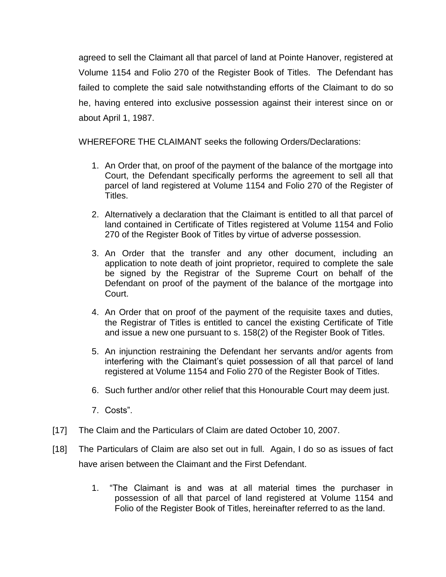agreed to sell the Claimant all that parcel of land at Pointe Hanover, registered at Volume 1154 and Folio 270 of the Register Book of Titles. The Defendant has failed to complete the said sale notwithstanding efforts of the Claimant to do so he, having entered into exclusive possession against their interest since on or about April 1, 1987.

WHEREFORE THE CLAIMANT seeks the following Orders/Declarations:

- 1. An Order that, on proof of the payment of the balance of the mortgage into Court, the Defendant specifically performs the agreement to sell all that parcel of land registered at Volume 1154 and Folio 270 of the Register of Titles.
- 2. Alternatively a declaration that the Claimant is entitled to all that parcel of land contained in Certificate of Titles registered at Volume 1154 and Folio 270 of the Register Book of Titles by virtue of adverse possession.
- 3. An Order that the transfer and any other document, including an application to note death of joint proprietor, required to complete the sale be signed by the Registrar of the Supreme Court on behalf of the Defendant on proof of the payment of the balance of the mortgage into Court.
- 4. An Order that on proof of the payment of the requisite taxes and duties, the Registrar of Titles is entitled to cancel the existing Certificate of Title and issue a new one pursuant to s. 158(2) of the Register Book of Titles.
- 5. An injunction restraining the Defendant her servants and/or agents from interfering with the Claimant's quiet possession of all that parcel of land registered at Volume 1154 and Folio 270 of the Register Book of Titles.
- 6. Such further and/or other relief that this Honourable Court may deem just.
- 7. Costs".
- [17] The Claim and the Particulars of Claim are dated October 10, 2007.
- [18] The Particulars of Claim are also set out in full. Again, I do so as issues of fact have arisen between the Claimant and the First Defendant.
	- 1. "The Claimant is and was at all material times the purchaser in possession of all that parcel of land registered at Volume 1154 and Folio of the Register Book of Titles, hereinafter referred to as the land.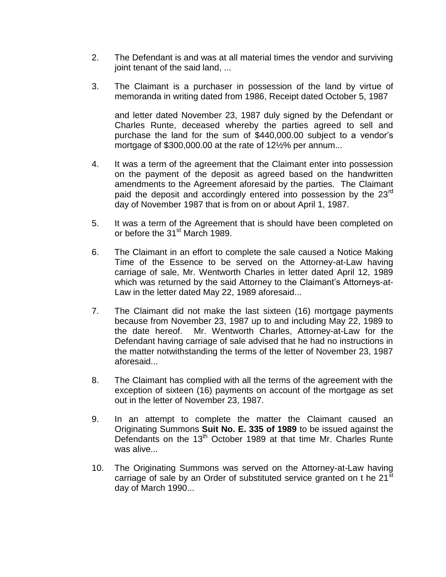- 2. The Defendant is and was at all material times the vendor and surviving joint tenant of the said land, ...
- 3. The Claimant is a purchaser in possession of the land by virtue of memoranda in writing dated from 1986, Receipt dated October 5, 1987

and letter dated November 23, 1987 duly signed by the Defendant or Charles Runte, deceased whereby the parties agreed to sell and purchase the land for the sum of \$440,000.00 subject to a vendor's mortgage of \$300,000.00 at the rate of 12½% per annum...

- 4. It was a term of the agreement that the Claimant enter into possession on the payment of the deposit as agreed based on the handwritten amendments to the Agreement aforesaid by the parties. The Claimant paid the deposit and accordingly entered into possession by the 23<sup>rd</sup> day of November 1987 that is from on or about April 1, 1987.
- 5. It was a term of the Agreement that is should have been completed on or before the 31<sup>st</sup> March 1989.
- 6. The Claimant in an effort to complete the sale caused a Notice Making Time of the Essence to be served on the Attorney-at-Law having carriage of sale, Mr. Wentworth Charles in letter dated April 12, 1989 which was returned by the said Attorney to the Claimant's Attorneys-at-Law in the letter dated May 22, 1989 aforesaid...
- 7. The Claimant did not make the last sixteen (16) mortgage payments because from November 23, 1987 up to and including May 22, 1989 to the date hereof. Mr. Wentworth Charles, Attorney-at-Law for the Defendant having carriage of sale advised that he had no instructions in the matter notwithstanding the terms of the letter of November 23, 1987 aforesaid...
- 8. The Claimant has complied with all the terms of the agreement with the exception of sixteen (16) payments on account of the mortgage as set out in the letter of November 23, 1987.
- 9. In an attempt to complete the matter the Claimant caused an Originating Summons **Suit No. E. 335 of 1989** to be issued against the Defendants on the 13<sup>th</sup> October 1989 at that time Mr. Charles Runte was alive...
- 10. The Originating Summons was served on the Attorney-at-Law having carriage of sale by an Order of substituted service granted on t he 21<sup>st</sup> day of March 1990...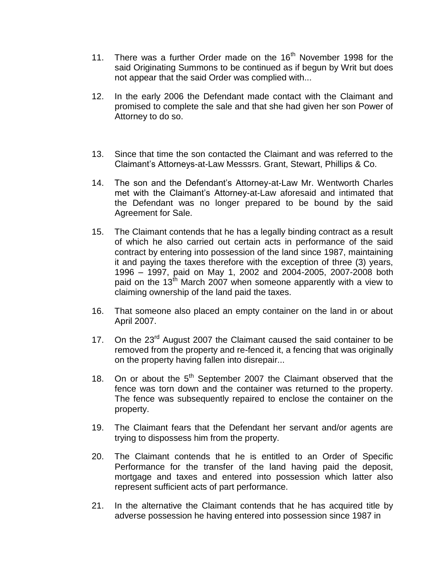- 11. There was a further Order made on the  $16<sup>th</sup>$  November 1998 for the said Originating Summons to be continued as if begun by Writ but does not appear that the said Order was complied with...
- 12. In the early 2006 the Defendant made contact with the Claimant and promised to complete the sale and that she had given her son Power of Attorney to do so.
- 13. Since that time the son contacted the Claimant and was referred to the Claimant's Attorneys-at-Law Messsrs. Grant, Stewart, Phillips & Co.
- 14. The son and the Defendant's Attorney-at-Law Mr. Wentworth Charles met with the Claimant's Attorney-at-Law aforesaid and intimated that the Defendant was no longer prepared to be bound by the said Agreement for Sale.
- 15. The Claimant contends that he has a legally binding contract as a result of which he also carried out certain acts in performance of the said contract by entering into possession of the land since 1987, maintaining it and paying the taxes therefore with the exception of three (3) years, 1996 – 1997, paid on May 1, 2002 and 2004-2005, 2007-2008 both paid on the  $13<sup>th</sup>$  March 2007 when someone apparently with a view to claiming ownership of the land paid the taxes.
- 16. That someone also placed an empty container on the land in or about April 2007.
- 17. On the  $23<sup>rd</sup>$  August 2007 the Claimant caused the said container to be removed from the property and re-fenced it, a fencing that was originally on the property having fallen into disrepair...
- 18. On or about the  $5<sup>th</sup>$  September 2007 the Claimant observed that the fence was torn down and the container was returned to the property. The fence was subsequently repaired to enclose the container on the property.
- 19. The Claimant fears that the Defendant her servant and/or agents are trying to dispossess him from the property.
- 20. The Claimant contends that he is entitled to an Order of Specific Performance for the transfer of the land having paid the deposit, mortgage and taxes and entered into possession which latter also represent sufficient acts of part performance.
- 21. In the alternative the Claimant contends that he has acquired title by adverse possession he having entered into possession since 1987 in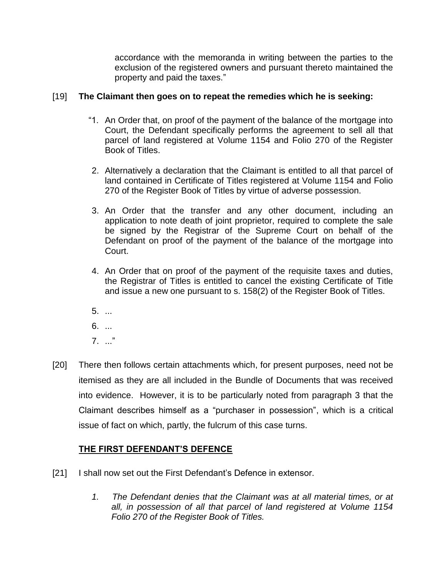accordance with the memoranda in writing between the parties to the exclusion of the registered owners and pursuant thereto maintained the property and paid the taxes."

## [19] **The Claimant then goes on to repeat the remedies which he is seeking:**

- "1. An Order that, on proof of the payment of the balance of the mortgage into Court, the Defendant specifically performs the agreement to sell all that parcel of land registered at Volume 1154 and Folio 270 of the Register Book of Titles.
- 2. Alternatively a declaration that the Claimant is entitled to all that parcel of land contained in Certificate of Titles registered at Volume 1154 and Folio 270 of the Register Book of Titles by virtue of adverse possession.
- 3. An Order that the transfer and any other document, including an application to note death of joint proprietor, required to complete the sale be signed by the Registrar of the Supreme Court on behalf of the Defendant on proof of the payment of the balance of the mortgage into Court.
- 4. An Order that on proof of the payment of the requisite taxes and duties, the Registrar of Titles is entitled to cancel the existing Certificate of Title and issue a new one pursuant to s. 158(2) of the Register Book of Titles.
- 5. ...
- 6. ...
- 7. ..."
- [20] There then follows certain attachments which, for present purposes, need not be itemised as they are all included in the Bundle of Documents that was received into evidence. However, it is to be particularly noted from paragraph 3 that the Claimant describes himself as a "purchaser in possession", which is a critical issue of fact on which, partly, the fulcrum of this case turns.

## **THE FIRST DEFENDANT'S DEFENCE**

- [21] I shall now set out the First Defendant's Defence in extensor.
	- *1. The Defendant denies that the Claimant was at all material times, or at all, in possession of all that parcel of land registered at Volume 1154 Folio 270 of the Register Book of Titles.*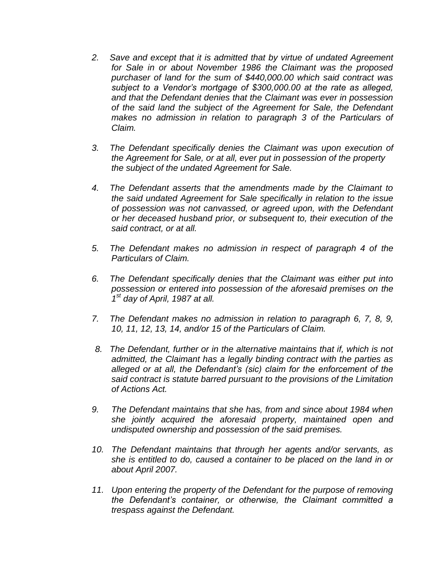- *2. Save and except that it is admitted that by virtue of undated Agreement for Sale in or about November 1986 the Claimant was the proposed purchaser of land for the sum of \$440,000.00 which said contract was subject to a Vendor's mortgage of \$300,000.00 at the rate as alleged, and that the Defendant denies that the Claimant was ever in possession of the said land the subject of the Agreement for Sale, the Defendant makes no admission in relation to paragraph 3 of the Particulars of Claim.*
- *3. The Defendant specifically denies the Claimant was upon execution of the Agreement for Sale, or at all, ever put in possession of the property the subject of the undated Agreement for Sale.*
- *4. The Defendant asserts that the amendments made by the Claimant to the said undated Agreement for Sale specifically in relation to the issue of possession was not canvassed, or agreed upon, with the Defendant or her deceased husband prior, or subsequent to, their execution of the said contract, or at all.*
- *5. The Defendant makes no admission in respect of paragraph 4 of the Particulars of Claim.*
- *6. The Defendant specifically denies that the Claimant was either put into possession or entered into possession of the aforesaid premises on the 1 st day of April, 1987 at all.*
- *7. The Defendant makes no admission in relation to paragraph 6, 7, 8, 9, 10, 11, 12, 13, 14, and/or 15 of the Particulars of Claim.*
- *8. The Defendant, further or in the alternative maintains that if, which is not admitted, the Claimant has a legally binding contract with the parties as alleged or at all, the Defendant's (sic) claim for the enforcement of the said contract is statute barred pursuant to the provisions of the Limitation of Actions Act.*
- *9. The Defendant maintains that she has, from and since about 1984 when she jointly acquired the aforesaid property, maintained open and undisputed ownership and possession of the said premises.*
- *10. The Defendant maintains that through her agents and/or servants, as she is entitled to do, caused a container to be placed on the land in or about April 2007.*
- *11. Upon entering the property of the Defendant for the purpose of removing the Defendant's container, or otherwise, the Claimant committed a trespass against the Defendant.*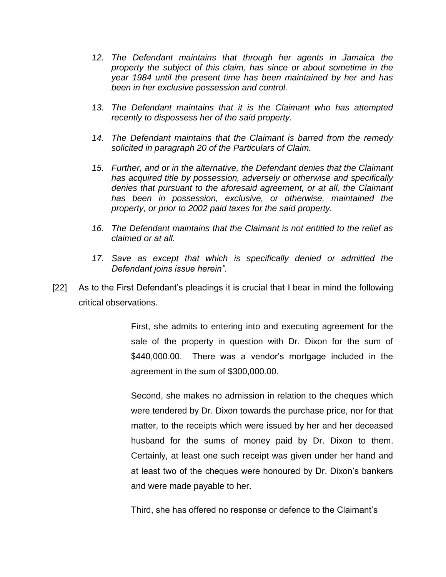- *12. The Defendant maintains that through her agents in Jamaica the property the subject of this claim, has since or about sometime in the year 1984 until the present time has been maintained by her and has been in her exclusive possession and control.*
- *13. The Defendant maintains that it is the Claimant who has attempted recently to dispossess her of the said property.*
- *14. The Defendant maintains that the Claimant is barred from the remedy solicited in paragraph 20 of the Particulars of Claim.*
- *15. Further, and or in the alternative, the Defendant denies that the Claimant has acquired title by possession, adversely or otherwise and specifically denies that pursuant to the aforesaid agreement, or at all, the Claimant has been in possession, exclusive, or otherwise, maintained the property, or prior to 2002 paid taxes for the said property.*
- *16. The Defendant maintains that the Claimant is not entitled to the relief as claimed or at all.*
- *17. Save as except that which is specifically denied or admitted the Defendant joins issue herein".*
- [22] As to the First Defendant's pleadings it is crucial that I bear in mind the following critical observations.

First, she admits to entering into and executing agreement for the sale of the property in question with Dr. Dixon for the sum of \$440,000.00. There was a vendor's mortgage included in the agreement in the sum of \$300,000.00.

Second, she makes no admission in relation to the cheques which were tendered by Dr. Dixon towards the purchase price, nor for that matter, to the receipts which were issued by her and her deceased husband for the sums of money paid by Dr. Dixon to them. Certainly, at least one such receipt was given under her hand and at least two of the cheques were honoured by Dr. Dixon's bankers and were made payable to her.

Third, she has offered no response or defence to the Claimant's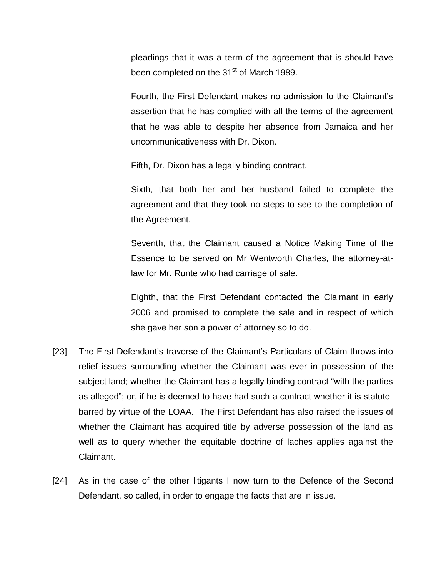pleadings that it was a term of the agreement that is should have been completed on the 31<sup>st</sup> of March 1989.

Fourth, the First Defendant makes no admission to the Claimant's assertion that he has complied with all the terms of the agreement that he was able to despite her absence from Jamaica and her uncommunicativeness with Dr. Dixon.

Fifth, Dr. Dixon has a legally binding contract.

Sixth, that both her and her husband failed to complete the agreement and that they took no steps to see to the completion of the Agreement.

Seventh, that the Claimant caused a Notice Making Time of the Essence to be served on Mr Wentworth Charles, the attorney-atlaw for Mr. Runte who had carriage of sale.

Eighth, that the First Defendant contacted the Claimant in early 2006 and promised to complete the sale and in respect of which she gave her son a power of attorney so to do.

- [23] The First Defendant's traverse of the Claimant's Particulars of Claim throws into relief issues surrounding whether the Claimant was ever in possession of the subject land; whether the Claimant has a legally binding contract "with the parties as alleged"; or, if he is deemed to have had such a contract whether it is statutebarred by virtue of the LOAA. The First Defendant has also raised the issues of whether the Claimant has acquired title by adverse possession of the land as well as to query whether the equitable doctrine of laches applies against the Claimant.
- [24] As in the case of the other litigants I now turn to the Defence of the Second Defendant, so called, in order to engage the facts that are in issue.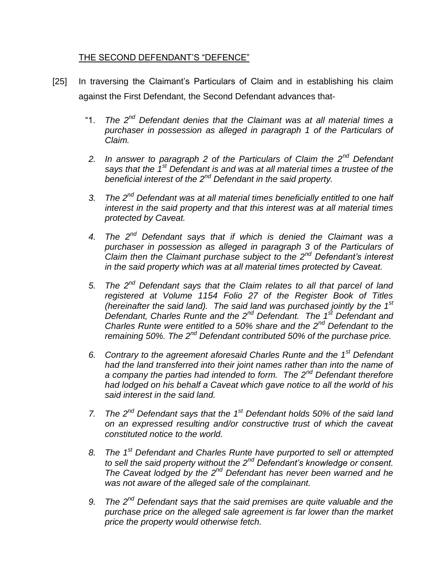## THE SECOND DEFENDANT'S "DEFENCE"

- [25] In traversing the Claimant's Particulars of Claim and in establishing his claim against the First Defendant, the Second Defendant advances that-
	- "1. *The 2nd Defendant denies that the Claimant was at all material times a purchaser in possession as alleged in paragraph 1 of the Particulars of Claim.*
	- *2. In answer to paragraph 2 of the Particulars of Claim the 2nd Defendant says that the 1st Defendant is and was at all material times a trustee of the beneficial interest of the 2nd Defendant in the said property.*
	- *3. The 2nd Defendant was at all material times beneficially entitled to one half interest in the said property and that this interest was at all material times protected by Caveat.*
	- *4. The 2nd Defendant says that if which is denied the Claimant was a purchaser in possession as alleged in paragraph 3 of the Particulars of Claim then the Claimant purchase subject to the 2nd Defendant's interest in the said property which was at all material times protected by Caveat.*
	- *5. The 2nd Defendant says that the Claim relates to all that parcel of land registered at Volume 1154 Folio 27 of the Register Book of Titles (hereinafter the said land). The said land was purchased jointly by the 1st Defendant, Charles Runte and the 2nd Defendant. The 1st Defendant and Charles Runte were entitled to a 50% share and the 2nd Defendant to the remaining 50%. The 2nd Defendant contributed 50% of the purchase price.*
	- *6. Contrary to the agreement aforesaid Charles Runte and the 1st Defendant had the land transferred into their joint names rather than into the name of a company the parties had intended to form. The 2nd Defendant therefore had lodged on his behalf a Caveat which gave notice to all the world of his said interest in the said land.*
	- *7. The 2nd Defendant says that the 1st Defendant holds 50% of the said land on an expressed resulting and/or constructive trust of which the caveat constituted notice to the world.*
	- *8. The 1st Defendant and Charles Runte have purported to sell or attempted to sell the said property without the 2nd Defendant's knowledge or consent. The Caveat lodged by the 2nd Defendant has never been warned and he was not aware of the alleged sale of the complainant.*
	- *9. The 2nd Defendant says that the said premises are quite valuable and the purchase price on the alleged sale agreement is far lower than the market price the property would otherwise fetch.*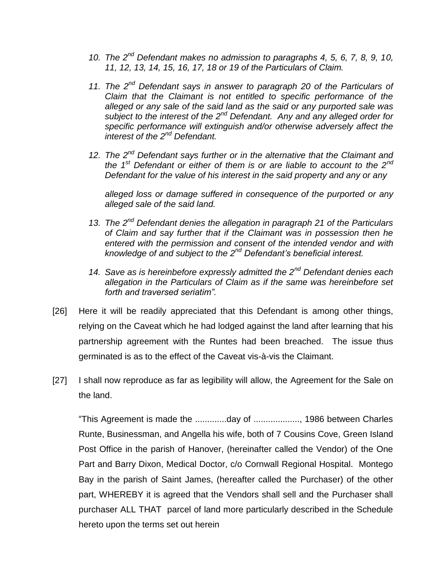- *10. The 2nd Defendant makes no admission to paragraphs 4, 5, 6, 7, 8, 9, 10, 11, 12, 13, 14, 15, 16, 17, 18 or 19 of the Particulars of Claim.*
- *11. The 2nd Defendant says in answer to paragraph 20 of the Particulars of Claim that the Claimant is not entitled to specific performance of the alleged or any sale of the said land as the said or any purported sale was subject to the interest of the 2nd Defendant. Any and any alleged order for specific performance will extinguish and/or otherwise adversely affect the interest of the 2nd Defendant.*
- *12. The 2nd Defendant says further or in the alternative that the Claimant and the 1st Defendant or either of them is or are liable to account to the 2nd Defendant for the value of his interest in the said property and any or any*

*alleged loss or damage suffered in consequence of the purported or any alleged sale of the said land.*

- *13. The 2nd Defendant denies the allegation in paragraph 21 of the Particulars of Claim and say further that if the Claimant was in possession then he entered with the permission and consent of the intended vendor and with knowledge of and subject to the 2nd Defendant's beneficial interest.*
- *14. Save as is hereinbefore expressly admitted the 2nd Defendant denies each allegation in the Particulars of Claim as if the same was hereinbefore set forth and traversed seriatim".*
- [26] Here it will be readily appreciated that this Defendant is among other things, relying on the Caveat which he had lodged against the land after learning that his partnership agreement with the Runtes had been breached. The issue thus germinated is as to the effect of the Caveat vis-à-vis the Claimant.
- [27] I shall now reproduce as far as legibility will allow, the Agreement for the Sale on the land.

"This Agreement is made the .............day of ..................., 1986 between Charles Runte, Businessman, and Angella his wife, both of 7 Cousins Cove, Green Island Post Office in the parish of Hanover, (hereinafter called the Vendor) of the One Part and Barry Dixon, Medical Doctor, c/o Cornwall Regional Hospital. Montego Bay in the parish of Saint James, (hereafter called the Purchaser) of the other part, WHEREBY it is agreed that the Vendors shall sell and the Purchaser shall purchaser ALL THAT parcel of land more particularly described in the Schedule hereto upon the terms set out herein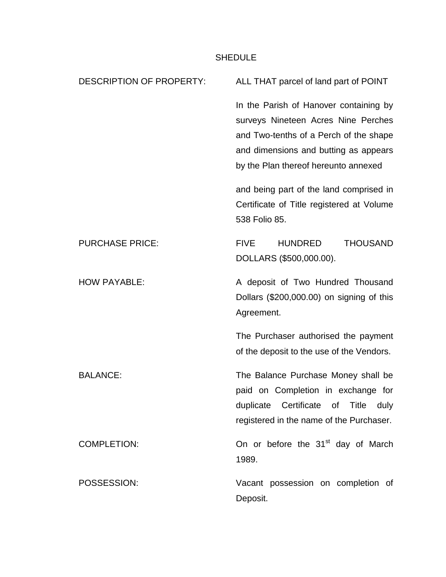## SHEDULE

| <b>DESCRIPTION OF PROPERTY:</b> | ALL THAT parcel of land part of POINT                                                                                                                                                                    |  |  |
|---------------------------------|----------------------------------------------------------------------------------------------------------------------------------------------------------------------------------------------------------|--|--|
|                                 | In the Parish of Hanover containing by<br>surveys Nineteen Acres Nine Perches<br>and Two-tenths of a Perch of the shape<br>and dimensions and butting as appears<br>by the Plan thereof hereunto annexed |  |  |
|                                 | and being part of the land comprised in<br>Certificate of Title registered at Volume<br>538 Folio 85.                                                                                                    |  |  |
| <b>PURCHASE PRICE:</b>          | <b>THOUSAND</b><br><b>FIVE</b><br><b>HUNDRED</b><br>DOLLARS (\$500,000.00).                                                                                                                              |  |  |
| <b>HOW PAYABLE:</b>             | A deposit of Two Hundred Thousand<br>Dollars (\$200,000.00) on signing of this<br>Agreement.                                                                                                             |  |  |
|                                 | The Purchaser authorised the payment<br>of the deposit to the use of the Vendors.                                                                                                                        |  |  |
| <b>BALANCE:</b>                 | The Balance Purchase Money shall be<br>paid on Completion in exchange for<br>duplicate Certificate of Title<br>duly<br>registered in the name of the Purchaser.                                          |  |  |
| <b>COMPLETION:</b>              | On or before the 31 <sup>st</sup> day of March<br>1989.                                                                                                                                                  |  |  |
| POSSESSION:                     | Vacant possession on completion of<br>Deposit.                                                                                                                                                           |  |  |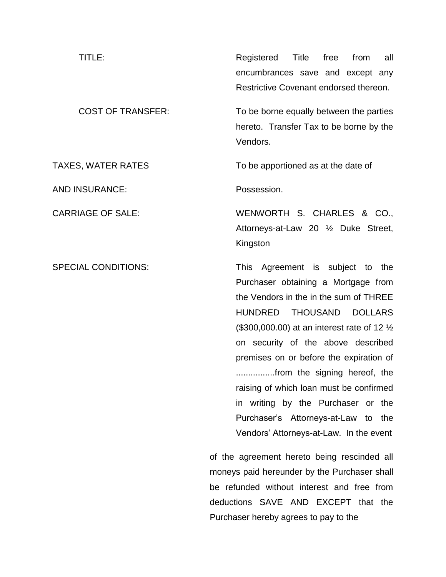| TITLE:                   | Registered Title free                   |  |  | from | all |
|--------------------------|-----------------------------------------|--|--|------|-----|
|                          | encumbrances save and except any        |  |  |      |     |
|                          | Restrictive Covenant endorsed thereon.  |  |  |      |     |
| <b>COST OF TRANSFER:</b> | To be borne equally between the parties |  |  |      |     |
|                          | hereto. Transfer Tax to be borne by the |  |  |      |     |

AND INSURANCE: Possession.

hereto. Transfer Tax to be borne by the Vendors.

TAXES, WATER RATES TO be apportioned as at the date of

CARRIAGE OF SALE: WENWORTH S. CHARLES & CO., Attorneys-at-Law 20 ½ Duke Street, Kingston

SPECIAL CONDITIONS: This Agreement is subject to the Purchaser obtaining a Mortgage from the Vendors in the in the sum of THREE HUNDRED THOUSAND DOLLARS (\$300,000.00) at an interest rate of 12 ½ on security of the above described premises on or before the expiration of ................from the signing hereof, the raising of which loan must be confirmed in writing by the Purchaser or the Purchaser's Attorneys-at-Law to the Vendors' Attorneys-at-Law. In the event

> of the agreement hereto being rescinded all moneys paid hereunder by the Purchaser shall be refunded without interest and free from deductions SAVE AND EXCEPT that the Purchaser hereby agrees to pay to the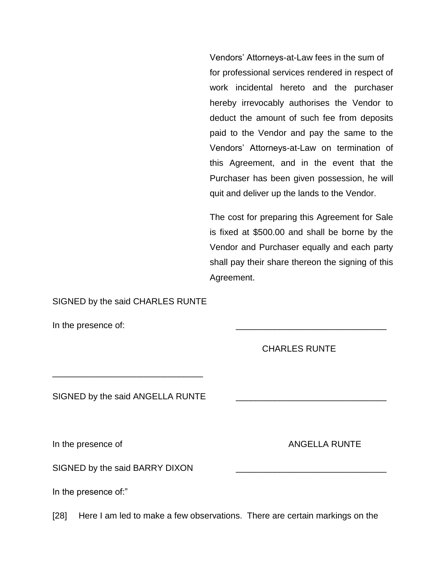Vendors' Attorneys-at-Law fees in the sum of for professional services rendered in respect of work incidental hereto and the purchaser hereby irrevocably authorises the Vendor to deduct the amount of such fee from deposits paid to the Vendor and pay the same to the Vendors' Attorneys-at-Law on termination of this Agreement, and in the event that the Purchaser has been given possession, he will quit and deliver up the lands to the Vendor.

The cost for preparing this Agreement for Sale is fixed at \$500.00 and shall be borne by the Vendor and Purchaser equally and each party shall pay their share thereon the signing of this Agreement.

SIGNED by the said CHARLES RUNTE

In the presence of:

CHARLES RUNTE

SIGNED by the said ANGELLA RUNTE

\_\_\_\_\_\_\_\_\_\_\_\_\_\_\_\_\_\_\_\_\_\_\_\_\_\_\_\_\_\_\_

SIGNED by the said BARRY DIXON

In the presence of:"

[28] Here I am led to make a few observations. There are certain markings on the

In the presence of  $\blacksquare$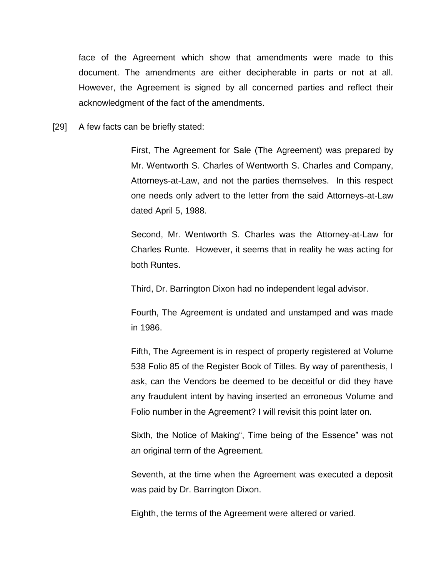face of the Agreement which show that amendments were made to this document. The amendments are either decipherable in parts or not at all. However, the Agreement is signed by all concerned parties and reflect their acknowledgment of the fact of the amendments.

[29] A few facts can be briefly stated:

First, The Agreement for Sale (The Agreement) was prepared by Mr. Wentworth S. Charles of Wentworth S. Charles and Company, Attorneys-at-Law, and not the parties themselves. In this respect one needs only advert to the letter from the said Attorneys-at-Law dated April 5, 1988.

Second, Mr. Wentworth S. Charles was the Attorney-at-Law for Charles Runte. However, it seems that in reality he was acting for both Runtes.

Third, Dr. Barrington Dixon had no independent legal advisor.

Fourth, The Agreement is undated and unstamped and was made in 1986.

Fifth, The Agreement is in respect of property registered at Volume 538 Folio 85 of the Register Book of Titles. By way of parenthesis, I ask, can the Vendors be deemed to be deceitful or did they have any fraudulent intent by having inserted an erroneous Volume and Folio number in the Agreement? I will revisit this point later on.

Sixth, the Notice of Making", Time being of the Essence" was not an original term of the Agreement.

Seventh, at the time when the Agreement was executed a deposit was paid by Dr. Barrington Dixon.

Eighth, the terms of the Agreement were altered or varied.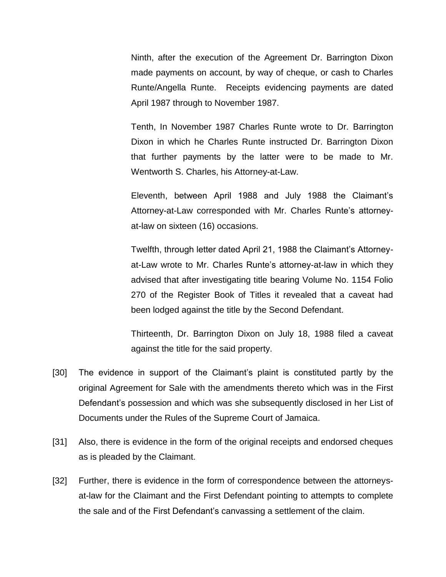Ninth, after the execution of the Agreement Dr. Barrington Dixon made payments on account, by way of cheque, or cash to Charles Runte/Angella Runte. Receipts evidencing payments are dated April 1987 through to November 1987.

Tenth, In November 1987 Charles Runte wrote to Dr. Barrington Dixon in which he Charles Runte instructed Dr. Barrington Dixon that further payments by the latter were to be made to Mr. Wentworth S. Charles, his Attorney-at-Law.

Eleventh, between April 1988 and July 1988 the Claimant's Attorney-at-Law corresponded with Mr. Charles Runte's attorneyat-law on sixteen (16) occasions.

Twelfth, through letter dated April 21, 1988 the Claimant's Attorneyat-Law wrote to Mr. Charles Runte's attorney-at-law in which they advised that after investigating title bearing Volume No. 1154 Folio 270 of the Register Book of Titles it revealed that a caveat had been lodged against the title by the Second Defendant.

Thirteenth, Dr. Barrington Dixon on July 18, 1988 filed a caveat against the title for the said property.

- [30] The evidence in support of the Claimant's plaint is constituted partly by the original Agreement for Sale with the amendments thereto which was in the First Defendant's possession and which was she subsequently disclosed in her List of Documents under the Rules of the Supreme Court of Jamaica.
- [31] Also, there is evidence in the form of the original receipts and endorsed cheques as is pleaded by the Claimant.
- [32] Further, there is evidence in the form of correspondence between the attorneysat-law for the Claimant and the First Defendant pointing to attempts to complete the sale and of the First Defendant's canvassing a settlement of the claim.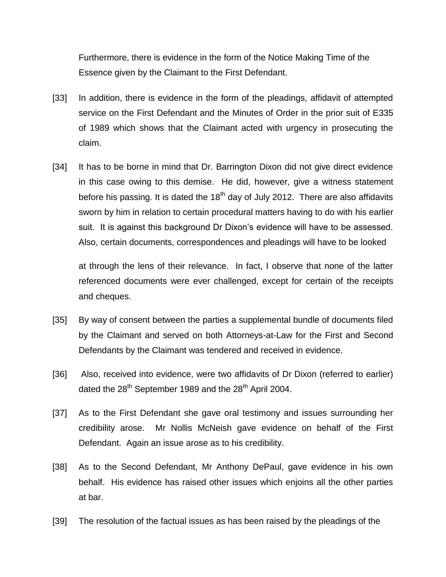Furthermore, there is evidence in the form of the Notice Making Time of the Essence given by the Claimant to the First Defendant.

- [33] In addition, there is evidence in the form of the pleadings, affidavit of attempted service on the First Defendant and the Minutes of Order in the prior suit of E335 of 1989 which shows that the Claimant acted with urgency in prosecuting the claim.
- [34] It has to be borne in mind that Dr. Barrington Dixon did not give direct evidence in this case owing to this demise. He did, however, give a witness statement before his passing. It is dated the  $18<sup>th</sup>$  day of July 2012. There are also affidavits sworn by him in relation to certain procedural matters having to do with his earlier suit. It is against this background Dr Dixon's evidence will have to be assessed. Also, certain documents, correspondences and pleadings will have to be looked

at through the lens of their relevance. In fact, I observe that none of the latter referenced documents were ever challenged, except for certain of the receipts and cheques.

- [35] By way of consent between the parties a supplemental bundle of documents filed by the Claimant and served on both Attorneys-at-Law for the First and Second Defendants by the Claimant was tendered and received in evidence.
- [36] Also, received into evidence, were two affidavits of Dr Dixon (referred to earlier) dated the  $28<sup>th</sup>$  September 1989 and the  $28<sup>th</sup>$  April 2004.
- [37] As to the First Defendant she gave oral testimony and issues surrounding her credibility arose. Mr Nollis McNeish gave evidence on behalf of the First Defendant. Again an issue arose as to his credibility.
- [38] As to the Second Defendant, Mr Anthony DePaul, gave evidence in his own behalf. His evidence has raised other issues which enjoins all the other parties at bar.
- [39] The resolution of the factual issues as has been raised by the pleadings of the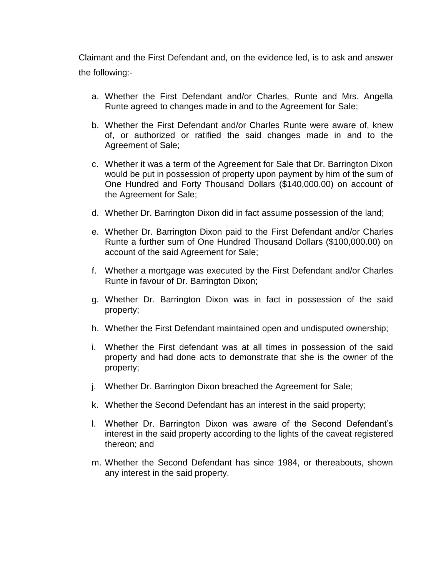Claimant and the First Defendant and, on the evidence led, is to ask and answer the following:-

- a. Whether the First Defendant and/or Charles, Runte and Mrs. Angella Runte agreed to changes made in and to the Agreement for Sale;
- b. Whether the First Defendant and/or Charles Runte were aware of, knew of, or authorized or ratified the said changes made in and to the Agreement of Sale;
- c. Whether it was a term of the Agreement for Sale that Dr. Barrington Dixon would be put in possession of property upon payment by him of the sum of One Hundred and Forty Thousand Dollars (\$140,000.00) on account of the Agreement for Sale;
- d. Whether Dr. Barrington Dixon did in fact assume possession of the land;
- e. Whether Dr. Barrington Dixon paid to the First Defendant and/or Charles Runte a further sum of One Hundred Thousand Dollars (\$100,000.00) on account of the said Agreement for Sale;
- f. Whether a mortgage was executed by the First Defendant and/or Charles Runte in favour of Dr. Barrington Dixon;
- g. Whether Dr. Barrington Dixon was in fact in possession of the said property;
- h. Whether the First Defendant maintained open and undisputed ownership;
- i. Whether the First defendant was at all times in possession of the said property and had done acts to demonstrate that she is the owner of the property;
- j. Whether Dr. Barrington Dixon breached the Agreement for Sale;
- k. Whether the Second Defendant has an interest in the said property;
- l. Whether Dr. Barrington Dixon was aware of the Second Defendant's interest in the said property according to the lights of the caveat registered thereon; and
- m. Whether the Second Defendant has since 1984, or thereabouts, shown any interest in the said property.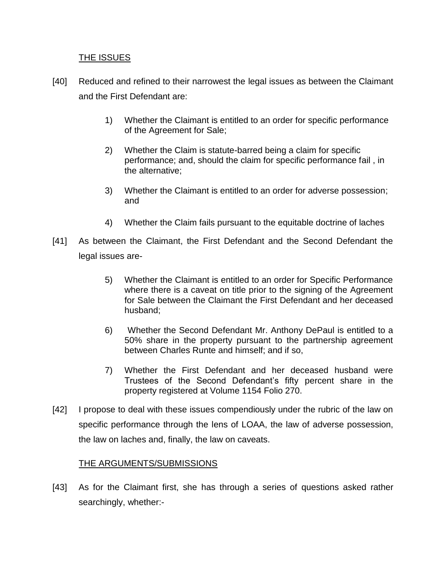### THE ISSUES

- [40] Reduced and refined to their narrowest the legal issues as between the Claimant and the First Defendant are:
	- 1) Whether the Claimant is entitled to an order for specific performance of the Agreement for Sale;
	- 2) Whether the Claim is statute-barred being a claim for specific performance; and, should the claim for specific performance fail , in the alternative;
	- 3) Whether the Claimant is entitled to an order for adverse possession; and
	- 4) Whether the Claim fails pursuant to the equitable doctrine of laches
- [41] As between the Claimant, the First Defendant and the Second Defendant the legal issues are-
	- 5) Whether the Claimant is entitled to an order for Specific Performance where there is a caveat on title prior to the signing of the Agreement for Sale between the Claimant the First Defendant and her deceased husband;
	- 6) Whether the Second Defendant Mr. Anthony DePaul is entitled to a 50% share in the property pursuant to the partnership agreement between Charles Runte and himself; and if so,
	- 7) Whether the First Defendant and her deceased husband were Trustees of the Second Defendant's fifty percent share in the property registered at Volume 1154 Folio 270.
- [42] I propose to deal with these issues compendiously under the rubric of the law on specific performance through the lens of LOAA, the law of adverse possession, the law on laches and, finally, the law on caveats.

### THE ARGUMENTS/SUBMISSIONS

[43] As for the Claimant first, she has through a series of questions asked rather searchingly, whether:-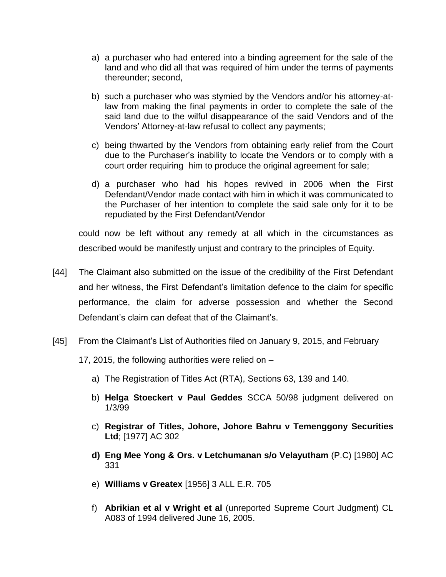- a) a purchaser who had entered into a binding agreement for the sale of the land and who did all that was required of him under the terms of payments thereunder; second,
- b) such a purchaser who was stymied by the Vendors and/or his attorney-atlaw from making the final payments in order to complete the sale of the said land due to the wilful disappearance of the said Vendors and of the Vendors' Attorney-at-law refusal to collect any payments;
- c) being thwarted by the Vendors from obtaining early relief from the Court due to the Purchaser's inability to locate the Vendors or to comply with a court order requiring him to produce the original agreement for sale;
- d) a purchaser who had his hopes revived in 2006 when the First Defendant/Vendor made contact with him in which it was communicated to the Purchaser of her intention to complete the said sale only for it to be repudiated by the First Defendant/Vendor

could now be left without any remedy at all which in the circumstances as described would be manifestly unjust and contrary to the principles of Equity.

- [44] The Claimant also submitted on the issue of the credibility of the First Defendant and her witness, the First Defendant's limitation defence to the claim for specific performance, the claim for adverse possession and whether the Second Defendant's claim can defeat that of the Claimant's.
- [45] From the Claimant's List of Authorities filed on January 9, 2015, and February

17, 2015, the following authorities were relied on –

- a) The Registration of Titles Act (RTA), Sections 63, 139 and 140.
- b) **Helga Stoeckert v Paul Geddes** SCCA 50/98 judgment delivered on 1/3/99
- c) **Registrar of Titles, Johore, Johore Bahru v Temenggony Securities Ltd**; [1977] AC 302
- **d) Eng Mee Yong & Ors. v Letchumanan s/o Velayutham** (P.C) [1980] AC 331
- e) **Williams v Greatex** [1956] 3 ALL E.R. 705
- f) **Abrikian et al v Wright et al** (unreported Supreme Court Judgment) CL A083 of 1994 delivered June 16, 2005.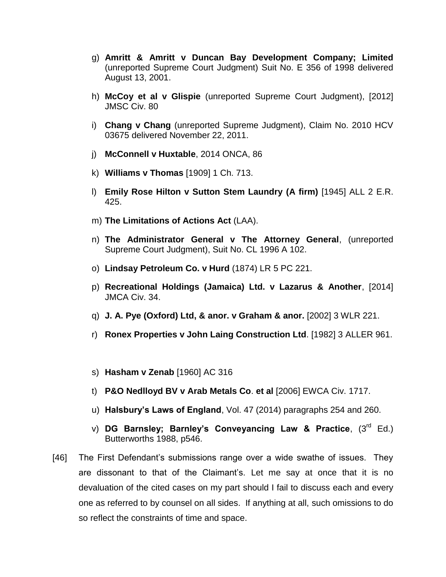- g) **Amritt & Amritt v Duncan Bay Development Company; Limited** (unreported Supreme Court Judgment) Suit No. E 356 of 1998 delivered August 13, 2001.
- h) **McCoy et al v Glispie** (unreported Supreme Court Judgment), [2012] JMSC Civ. 80
- i) **Chang v Chang** (unreported Supreme Judgment), Claim No. 2010 HCV 03675 delivered November 22, 2011.
- j) **McConnell v Huxtable**, 2014 ONCA, 86
- k) **Williams v Thomas** [1909] 1 Ch. 713.
- l) **Emily Rose Hilton v Sutton Stem Laundry (A firm)** [1945] ALL 2 E.R. 425.
- m) **The Limitations of Actions Act** (LAA).
- n) **The Administrator General v The Attorney General**, (unreported Supreme Court Judgment), Suit No. CL 1996 A 102.
- o) **Lindsay Petroleum Co. v Hurd** (1874) LR 5 PC 221.
- p) **Recreational Holdings (Jamaica) Ltd. v Lazarus & Another**, [2014] JMCA Civ. 34.
- q) **J. A. Pye (Oxford) Ltd, & anor. v Graham & anor.** [2002] 3 WLR 221.
- r) **Ronex Properties v John Laing Construction Ltd**. [1982] 3 ALLER 961.
- s) **Hasham v Zenab** [1960] AC 316
- t) **P&O Nedlloyd BV v Arab Metals Co**. **et al** [2006] EWCA Civ. 1717.
- u) **Halsbury's Laws of England**, Vol. 47 (2014) paragraphs 254 and 260.
- v) **DG Barnsley; Barnley's Conveyancing Law & Practice**, (3<sup>rd</sup> Ed.) Butterworths 1988, p546.
- [46] The First Defendant's submissions range over a wide swathe of issues. They are dissonant to that of the Claimant's. Let me say at once that it is no devaluation of the cited cases on my part should I fail to discuss each and every one as referred to by counsel on all sides. If anything at all, such omissions to do so reflect the constraints of time and space.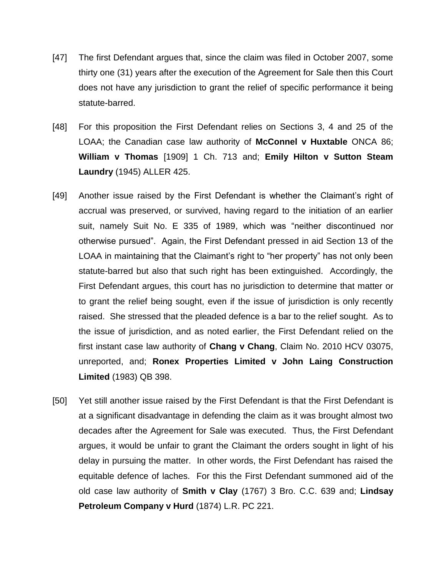- [47] The first Defendant argues that, since the claim was filed in October 2007, some thirty one (31) years after the execution of the Agreement for Sale then this Court does not have any jurisdiction to grant the relief of specific performance it being statute-barred.
- [48] For this proposition the First Defendant relies on Sections 3, 4 and 25 of the LOAA; the Canadian case law authority of **McConnel v Huxtable** ONCA 86; **William v Thomas** [1909] 1 Ch. 713 and; **Emily Hilton v Sutton Steam Laundry** (1945) ALLER 425.
- [49] Another issue raised by the First Defendant is whether the Claimant's right of accrual was preserved, or survived, having regard to the initiation of an earlier suit, namely Suit No. E 335 of 1989, which was "neither discontinued nor otherwise pursued". Again, the First Defendant pressed in aid Section 13 of the LOAA in maintaining that the Claimant's right to "her property" has not only been statute-barred but also that such right has been extinguished. Accordingly, the First Defendant argues, this court has no jurisdiction to determine that matter or to grant the relief being sought, even if the issue of jurisdiction is only recently raised. She stressed that the pleaded defence is a bar to the relief sought. As to the issue of jurisdiction, and as noted earlier, the First Defendant relied on the first instant case law authority of **Chang v Chang**, Claim No. 2010 HCV 03075, unreported, and; **Ronex Properties Limited v John Laing Construction Limited** (1983) QB 398.
- [50] Yet still another issue raised by the First Defendant is that the First Defendant is at a significant disadvantage in defending the claim as it was brought almost two decades after the Agreement for Sale was executed. Thus, the First Defendant argues, it would be unfair to grant the Claimant the orders sought in light of his delay in pursuing the matter. In other words, the First Defendant has raised the equitable defence of laches. For this the First Defendant summoned aid of the old case law authority of **Smith v Clay** (1767) 3 Bro. C.C. 639 and; **Lindsay Petroleum Company v Hurd** (1874) L.R. PC 221.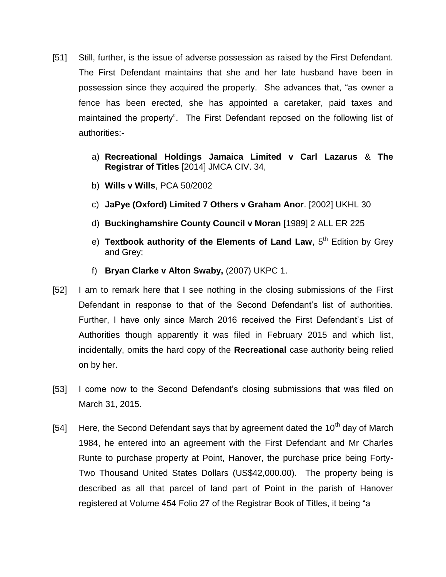- [51] Still, further, is the issue of adverse possession as raised by the First Defendant. The First Defendant maintains that she and her late husband have been in possession since they acquired the property. She advances that, "as owner a fence has been erected, she has appointed a caretaker, paid taxes and maintained the property". The First Defendant reposed on the following list of authorities:
	- a) **Recreational Holdings Jamaica Limited v Carl Lazarus** & **The Registrar of Titles** [2014] JMCA CIV. 34,
	- b) **Wills v Wills**, PCA 50/2002
	- c) **JaPye (Oxford) Limited 7 Others v Graham Anor**. [2002] UKHL 30
	- d) **Buckinghamshire County Council v Moran** [1989] 2 ALL ER 225
	- e) **Textbook authority of the Elements of Land Law**, 5<sup>th</sup> Edition by Grey and Grey;
	- f) **Bryan Clarke v Alton Swaby,** (2007) UKPC 1.
- [52] I am to remark here that I see nothing in the closing submissions of the First Defendant in response to that of the Second Defendant's list of authorities. Further, I have only since March 2016 received the First Defendant's List of Authorities though apparently it was filed in February 2015 and which list, incidentally, omits the hard copy of the **Recreational** case authority being relied on by her.
- [53] I come now to the Second Defendant's closing submissions that was filed on March 31, 2015.
- [54] Here, the Second Defendant says that by agreement dated the 10<sup>th</sup> day of March 1984, he entered into an agreement with the First Defendant and Mr Charles Runte to purchase property at Point, Hanover, the purchase price being Forty-Two Thousand United States Dollars (US\$42,000.00). The property being is described as all that parcel of land part of Point in the parish of Hanover registered at Volume 454 Folio 27 of the Registrar Book of Titles, it being "a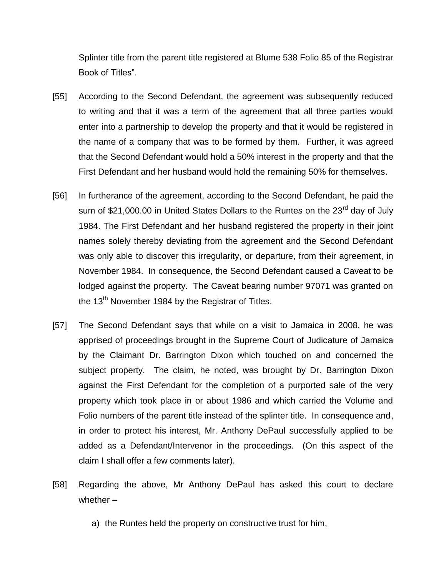Splinter title from the parent title registered at Blume 538 Folio 85 of the Registrar Book of Titles".

- [55] According to the Second Defendant, the agreement was subsequently reduced to writing and that it was a term of the agreement that all three parties would enter into a partnership to develop the property and that it would be registered in the name of a company that was to be formed by them. Further, it was agreed that the Second Defendant would hold a 50% interest in the property and that the First Defendant and her husband would hold the remaining 50% for themselves.
- [56] In furtherance of the agreement, according to the Second Defendant, he paid the sum of \$21,000.00 in United States Dollars to the Runtes on the 23<sup>rd</sup> day of July 1984. The First Defendant and her husband registered the property in their joint names solely thereby deviating from the agreement and the Second Defendant was only able to discover this irregularity, or departure, from their agreement, in November 1984. In consequence, the Second Defendant caused a Caveat to be lodged against the property. The Caveat bearing number 97071 was granted on the  $13<sup>th</sup>$  November 1984 by the Registrar of Titles.
- [57] The Second Defendant says that while on a visit to Jamaica in 2008, he was apprised of proceedings brought in the Supreme Court of Judicature of Jamaica by the Claimant Dr. Barrington Dixon which touched on and concerned the subject property. The claim, he noted, was brought by Dr. Barrington Dixon against the First Defendant for the completion of a purported sale of the very property which took place in or about 1986 and which carried the Volume and Folio numbers of the parent title instead of the splinter title. In consequence and, in order to protect his interest, Mr. Anthony DePaul successfully applied to be added as a Defendant/Intervenor in the proceedings. (On this aspect of the claim I shall offer a few comments later).
- [58] Regarding the above, Mr Anthony DePaul has asked this court to declare whether –
	- a) the Runtes held the property on constructive trust for him,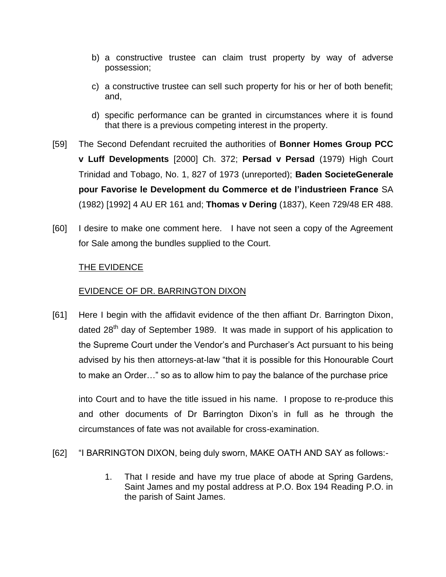- b) a constructive trustee can claim trust property by way of adverse possession;
- c) a constructive trustee can sell such property for his or her of both benefit; and,
- d) specific performance can be granted in circumstances where it is found that there is a previous competing interest in the property.
- [59] The Second Defendant recruited the authorities of **Bonner Homes Group PCC v Luff Developments** [2000] Ch. 372; **Persad v Persad** (1979) High Court Trinidad and Tobago, No. 1, 827 of 1973 (unreported); **Baden SocieteGenerale pour Favorise le Development du Commerce et de I'industrieen France** SA (1982) [1992] 4 AU ER 161 and; **Thomas v Dering** (1837), Keen 729/48 ER 488.
- [60] I desire to make one comment here. I have not seen a copy of the Agreement for Sale among the bundles supplied to the Court.

## THE EVIDENCE

## EVIDENCE OF DR. BARRINGTON DIXON

[61] Here I begin with the affidavit evidence of the then affiant Dr. Barrington Dixon, dated  $28<sup>th</sup>$  day of September 1989. It was made in support of his application to the Supreme Court under the Vendor's and Purchaser's Act pursuant to his being advised by his then attorneys-at-law "that it is possible for this Honourable Court to make an Order…" so as to allow him to pay the balance of the purchase price

into Court and to have the title issued in his name. I propose to re-produce this and other documents of Dr Barrington Dixon's in full as he through the circumstances of fate was not available for cross-examination.

- [62] "I BARRINGTON DIXON, being duly sworn, MAKE OATH AND SAY as follows:-
	- 1. That I reside and have my true place of abode at Spring Gardens, Saint James and my postal address at P.O. Box 194 Reading P.O. in the parish of Saint James.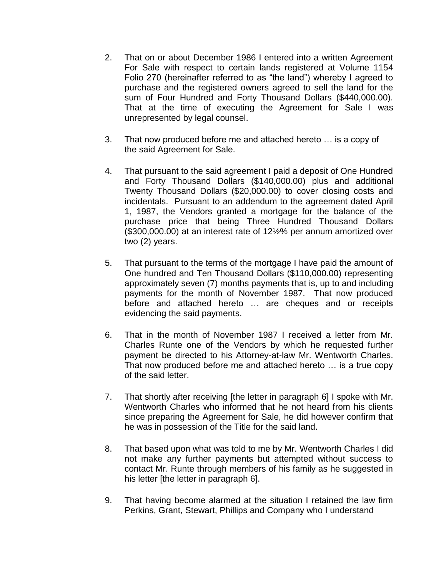- 2. That on or about December 1986 I entered into a written Agreement For Sale with respect to certain lands registered at Volume 1154 Folio 270 (hereinafter referred to as "the land") whereby I agreed to purchase and the registered owners agreed to sell the land for the sum of Four Hundred and Forty Thousand Dollars (\$440,000.00). That at the time of executing the Agreement for Sale I was unrepresented by legal counsel.
- 3. That now produced before me and attached hereto … is a copy of the said Agreement for Sale.
- 4. That pursuant to the said agreement I paid a deposit of One Hundred and Forty Thousand Dollars (\$140,000.00) plus and additional Twenty Thousand Dollars (\$20,000.00) to cover closing costs and incidentals. Pursuant to an addendum to the agreement dated April 1, 1987, the Vendors granted a mortgage for the balance of the purchase price that being Three Hundred Thousand Dollars (\$300,000.00) at an interest rate of 12½% per annum amortized over two (2) years.
- 5. That pursuant to the terms of the mortgage I have paid the amount of One hundred and Ten Thousand Dollars (\$110,000.00) representing approximately seven (7) months payments that is, up to and including payments for the month of November 1987. That now produced before and attached hereto … are cheques and or receipts evidencing the said payments.
- 6. That in the month of November 1987 I received a letter from Mr. Charles Runte one of the Vendors by which he requested further payment be directed to his Attorney-at-law Mr. Wentworth Charles. That now produced before me and attached hereto … is a true copy of the said letter.
- 7. That shortly after receiving [the letter in paragraph 6] I spoke with Mr. Wentworth Charles who informed that he not heard from his clients since preparing the Agreement for Sale, he did however confirm that he was in possession of the Title for the said land.
- 8. That based upon what was told to me by Mr. Wentworth Charles I did not make any further payments but attempted without success to contact Mr. Runte through members of his family as he suggested in his letter [the letter in paragraph 6].
- 9. That having become alarmed at the situation I retained the law firm Perkins, Grant, Stewart, Phillips and Company who I understand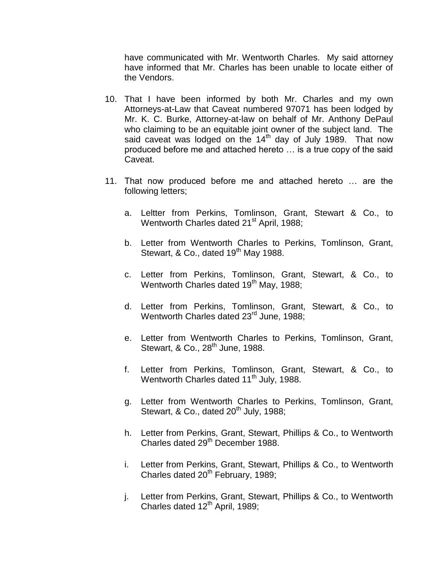have communicated with Mr. Wentworth Charles. My said attorney have informed that Mr. Charles has been unable to locate either of the Vendors.

- 10. That I have been informed by both Mr. Charles and my own Attorneys-at-Law that Caveat numbered 97071 has been lodged by Mr. K. C. Burke, Attorney-at-law on behalf of Mr. Anthony DePaul who claiming to be an equitable joint owner of the subject land. The said caveat was lodged on the  $14<sup>th</sup>$  day of July 1989. That now produced before me and attached hereto … is a true copy of the said Caveat.
- 11. That now produced before me and attached hereto … are the following letters;
	- a. Leltter from Perkins, Tomlinson, Grant, Stewart & Co., to Wentworth Charles dated 21<sup>st</sup> April, 1988;
	- b. Letter from Wentworth Charles to Perkins, Tomlinson, Grant, Stewart, & Co., dated 19<sup>th</sup> May 1988.
	- c. Letter from Perkins, Tomlinson, Grant, Stewart, & Co., to Wentworth Charles dated 19<sup>th</sup> May, 1988;
	- d. Letter from Perkins, Tomlinson, Grant, Stewart, & Co., to Wentworth Charles dated 23<sup>rd</sup> June, 1988;
	- e. Letter from Wentworth Charles to Perkins, Tomlinson, Grant, Stewart, & Co., 28<sup>th</sup> June, 1988.
	- f. Letter from Perkins, Tomlinson, Grant, Stewart, & Co., to Wentworth Charles dated 11<sup>th</sup> July, 1988.
	- g. Letter from Wentworth Charles to Perkins, Tomlinson, Grant, Stewart, & Co., dated  $20<sup>th</sup>$  July, 1988;
	- h. Letter from Perkins, Grant, Stewart, Phillips & Co., to Wentworth Charles dated 29<sup>th</sup> December 1988.
	- i. Letter from Perkins, Grant, Stewart, Phillips & Co., to Wentworth Charles dated  $20<sup>th</sup>$  February, 1989;
	- j. Letter from Perkins, Grant, Stewart, Phillips & Co., to Wentworth Charles dated  $12<sup>th</sup>$  April, 1989;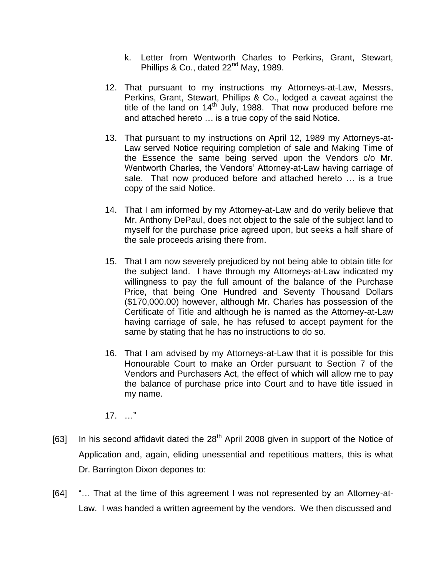- k. Letter from Wentworth Charles to Perkins, Grant, Stewart, Phillips & Co., dated 22<sup>nd</sup> May, 1989.
- 12. That pursuant to my instructions my Attorneys-at-Law, Messrs, Perkins, Grant, Stewart, Phillips & Co., lodged a caveat against the title of the land on  $14<sup>th</sup>$  July, 1988. That now produced before me and attached hereto … is a true copy of the said Notice.
- 13. That pursuant to my instructions on April 12, 1989 my Attorneys-at-Law served Notice requiring completion of sale and Making Time of the Essence the same being served upon the Vendors c/o Mr. Wentworth Charles, the Vendors' Attorney-at-Law having carriage of sale. That now produced before and attached hereto … is a true copy of the said Notice.
- 14. That I am informed by my Attorney-at-Law and do verily believe that Mr. Anthony DePaul, does not object to the sale of the subject land to myself for the purchase price agreed upon, but seeks a half share of the sale proceeds arising there from.
- 15. That I am now severely prejudiced by not being able to obtain title for the subject land. I have through my Attorneys-at-Law indicated my willingness to pay the full amount of the balance of the Purchase Price, that being One Hundred and Seventy Thousand Dollars (\$170,000.00) however, although Mr. Charles has possession of the Certificate of Title and although he is named as the Attorney-at-Law having carriage of sale, he has refused to accept payment for the same by stating that he has no instructions to do so.
- 16. That I am advised by my Attorneys-at-Law that it is possible for this Honourable Court to make an Order pursuant to Section 7 of the Vendors and Purchasers Act, the effect of which will allow me to pay the balance of purchase price into Court and to have title issued in my name.
- 17. …"
- [63] In his second affidavit dated the  $28<sup>th</sup>$  April 2008 given in support of the Notice of Application and, again, eliding unessential and repetitious matters, this is what Dr. Barrington Dixon depones to:
- [64] "… That at the time of this agreement I was not represented by an Attorney-at-Law. I was handed a written agreement by the vendors. We then discussed and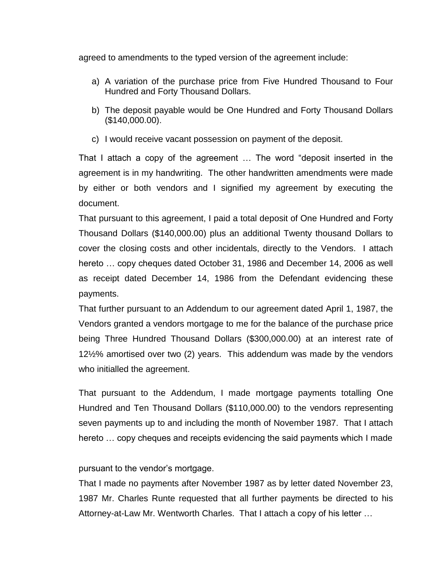agreed to amendments to the typed version of the agreement include:

- a) A variation of the purchase price from Five Hundred Thousand to Four Hundred and Forty Thousand Dollars.
- b) The deposit payable would be One Hundred and Forty Thousand Dollars (\$140,000.00).
- c) I would receive vacant possession on payment of the deposit.

That I attach a copy of the agreement … The word "deposit inserted in the agreement is in my handwriting. The other handwritten amendments were made by either or both vendors and I signified my agreement by executing the document.

That pursuant to this agreement, I paid a total deposit of One Hundred and Forty Thousand Dollars (\$140,000.00) plus an additional Twenty thousand Dollars to cover the closing costs and other incidentals, directly to the Vendors. I attach hereto … copy cheques dated October 31, 1986 and December 14, 2006 as well as receipt dated December 14, 1986 from the Defendant evidencing these payments.

That further pursuant to an Addendum to our agreement dated April 1, 1987, the Vendors granted a vendors mortgage to me for the balance of the purchase price being Three Hundred Thousand Dollars (\$300,000.00) at an interest rate of 12½% amortised over two (2) years. This addendum was made by the vendors who initialled the agreement.

That pursuant to the Addendum, I made mortgage payments totalling One Hundred and Ten Thousand Dollars (\$110,000.00) to the vendors representing seven payments up to and including the month of November 1987. That I attach hereto … copy cheques and receipts evidencing the said payments which I made

### pursuant to the vendor's mortgage.

That I made no payments after November 1987 as by letter dated November 23, 1987 Mr. Charles Runte requested that all further payments be directed to his Attorney-at-Law Mr. Wentworth Charles. That I attach a copy of his letter …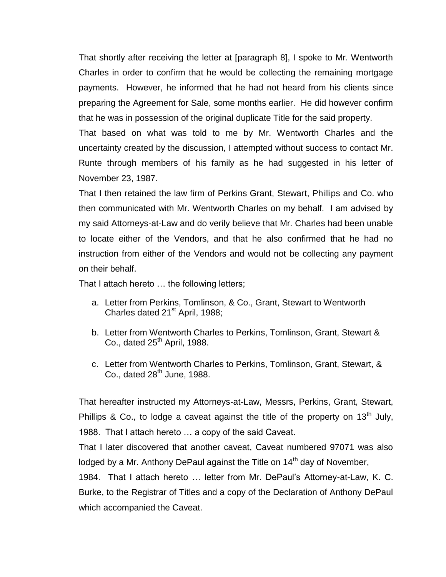That shortly after receiving the letter at [paragraph 8], I spoke to Mr. Wentworth Charles in order to confirm that he would be collecting the remaining mortgage payments. However, he informed that he had not heard from his clients since preparing the Agreement for Sale, some months earlier. He did however confirm that he was in possession of the original duplicate Title for the said property.

That based on what was told to me by Mr. Wentworth Charles and the uncertainty created by the discussion, I attempted without success to contact Mr. Runte through members of his family as he had suggested in his letter of November 23, 1987.

That I then retained the law firm of Perkins Grant, Stewart, Phillips and Co. who then communicated with Mr. Wentworth Charles on my behalf. I am advised by my said Attorneys-at-Law and do verily believe that Mr. Charles had been unable to locate either of the Vendors, and that he also confirmed that he had no instruction from either of the Vendors and would not be collecting any payment on their behalf.

That I attach hereto … the following letters;

- a. Letter from Perkins, Tomlinson, & Co., Grant, Stewart to Wentworth Charles dated 21<sup>st</sup> April, 1988;
- b. Letter from Wentworth Charles to Perkins, Tomlinson, Grant, Stewart & Co., dated  $25<sup>th</sup>$  April, 1988.
- c. Letter from Wentworth Charles to Perkins, Tomlinson, Grant, Stewart, & Co., dated  $28<sup>th</sup>$  June, 1988.

That hereafter instructed my Attorneys-at-Law, Messrs, Perkins, Grant, Stewart, Phillips & Co., to lodge a caveat against the title of the property on  $13<sup>th</sup>$  July, 1988. That I attach hereto … a copy of the said Caveat.

That I later discovered that another caveat, Caveat numbered 97071 was also lodged by a Mr. Anthony DePaul against the Title on 14<sup>th</sup> day of November,

1984. That I attach hereto … letter from Mr. DePaul's Attorney-at-Law, K. C. Burke, to the Registrar of Titles and a copy of the Declaration of Anthony DePaul which accompanied the Caveat.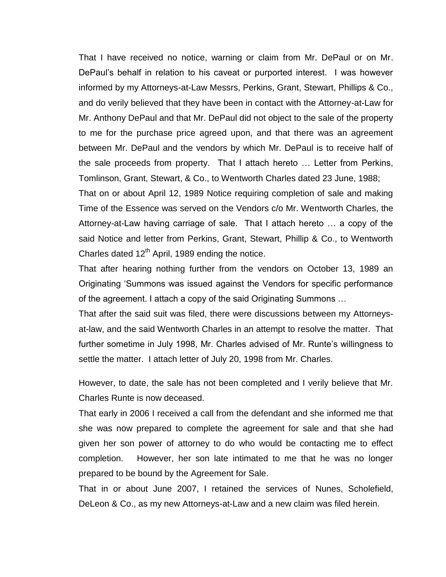That I have received no notice, warning or claim from Mr. DePaul or on Mr. DePaul's behalf in relation to his caveat or purported interest. I was however informed by my Attorneys-at-Law Messrs, Perkins, Grant, Stewart, Phillips & Co., and do verily believed that they have been in contact with the Attorney-at-Law for Mr. Anthony DePaul and that Mr. DePaul did not object to the sale of the property to me for the purchase price agreed upon, and that there was an agreement between Mr. DePaul and the vendors by which Mr. DePaul is to receive half of the sale proceeds from property. That I attach hereto … Letter from Perkins, Tomlinson, Grant, Stewart, & Co., to Wentworth Charles dated 23 June, 1988;

That on or about April 12, 1989 Notice requiring completion of sale and making Time of the Essence was served on the Vendors c/o Mr. Wentworth Charles, the Attorney-at-Law having carriage of sale. That I attach hereto … a copy of the said Notice and letter from Perkins, Grant, Stewart, Phillip & Co., to Wentworth Charles dated  $12<sup>th</sup>$  April, 1989 ending the notice.

That after hearing nothing further from the vendors on October 13, 1989 an Originating 'Summons was issued against the Vendors for specific performance of the agreement. I attach a copy of the said Originating Summons …

That after the said suit was filed, there were discussions between my Attorneysat-law, and the said Wentworth Charles in an attempt to resolve the matter. That further sometime in July 1998, Mr. Charles advised of Mr. Runte's willingness to settle the matter. I attach letter of July 20, 1998 from Mr. Charles.

However, to date, the sale has not been completed and I verily believe that Mr. Charles Runte is now deceased.

That early in 2006 I received a call from the defendant and she informed me that she was now prepared to complete the agreement for sale and that she had given her son power of attorney to do who would be contacting me to effect completion. However, her son late intimated to me that he was no longer prepared to be bound by the Agreement for Sale.

That in or about June 2007, I retained the services of Nunes, Scholefield, DeLeon & Co., as my new Attorneys-at-Law and a new claim was filed herein.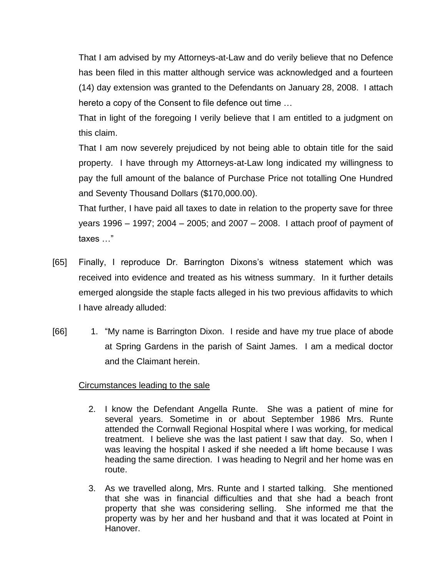That I am advised by my Attorneys-at-Law and do verily believe that no Defence has been filed in this matter although service was acknowledged and a fourteen (14) day extension was granted to the Defendants on January 28, 2008. I attach hereto a copy of the Consent to file defence out time …

That in light of the foregoing I verily believe that I am entitled to a judgment on this claim.

That I am now severely prejudiced by not being able to obtain title for the said property. I have through my Attorneys-at-Law long indicated my willingness to pay the full amount of the balance of Purchase Price not totalling One Hundred and Seventy Thousand Dollars (\$170,000.00).

That further, I have paid all taxes to date in relation to the property save for three years 1996 – 1997; 2004 – 2005; and 2007 – 2008. I attach proof of payment of taxes …"

- [65] Finally, I reproduce Dr. Barrington Dixons's witness statement which was received into evidence and treated as his witness summary. In it further details emerged alongside the staple facts alleged in his two previous affidavits to which I have already alluded:
- [66] 1. "My name is Barrington Dixon. I reside and have my true place of abode at Spring Gardens in the parish of Saint James. I am a medical doctor and the Claimant herein.

### Circumstances leading to the sale

- 2. I know the Defendant Angella Runte. She was a patient of mine for several years. Sometime in or about September 1986 Mrs. Runte attended the Cornwall Regional Hospital where I was working, for medical treatment. I believe she was the last patient I saw that day. So, when I was leaving the hospital I asked if she needed a lift home because I was heading the same direction. I was heading to Negril and her home was en route.
- 3. As we travelled along, Mrs. Runte and I started talking. She mentioned that she was in financial difficulties and that she had a beach front property that she was considering selling. She informed me that the property was by her and her husband and that it was located at Point in Hanover.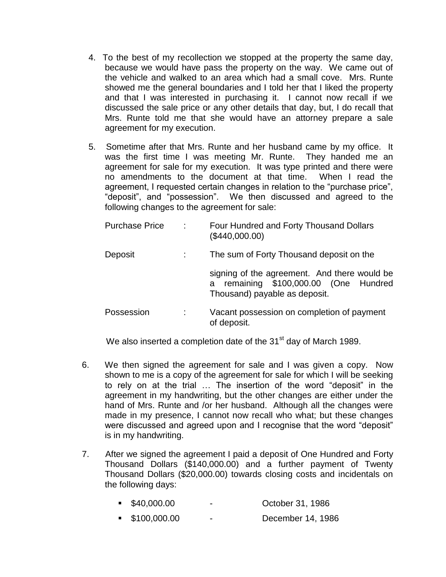- 4. To the best of my recollection we stopped at the property the same day, because we would have pass the property on the way. We came out of the vehicle and walked to an area which had a small cove. Mrs. Runte showed me the general boundaries and I told her that I liked the property and that I was interested in purchasing it. I cannot now recall if we discussed the sale price or any other details that day, but, I do recall that Mrs. Runte told me that she would have an attorney prepare a sale agreement for my execution.
- 5. Sometime after that Mrs. Runte and her husband came by my office. It was the first time I was meeting Mr. Runte. They handed me an agreement for sale for my execution. It was type printed and there were no amendments to the document at that time. When I read the agreement, I requested certain changes in relation to the "purchase price", "deposit", and "possession". We then discussed and agreed to the following changes to the agreement for sale:

| <b>Purchase Price</b> |   | Four Hundred and Forty Thousand Dollars<br>(\$440,000.00)                                                                 |  |
|-----------------------|---|---------------------------------------------------------------------------------------------------------------------------|--|
| Deposit               |   | The sum of Forty Thousand deposit on the                                                                                  |  |
|                       |   | signing of the agreement. And there would be<br>remaining \$100,000.00 (One Hundred<br>a<br>Thousand) payable as deposit. |  |
| Possession            | ÷ | Vacant possession on completion of payment<br>of deposit.                                                                 |  |

We also inserted a completion date of the 31<sup>st</sup> day of March 1989.

- 6. We then signed the agreement for sale and I was given a copy. Now shown to me is a copy of the agreement for sale for which I will be seeking to rely on at the trial … The insertion of the word "deposit" in the agreement in my handwriting, but the other changes are either under the hand of Mrs. Runte and /or her husband. Although all the changes were made in my presence, I cannot now recall who what; but these changes were discussed and agreed upon and I recognise that the word "deposit" is in my handwriting.
- 7. After we signed the agreement I paid a deposit of One Hundred and Forty Thousand Dollars (\$140,000.00) and a further payment of Twenty Thousand Dollars (\$20,000.00) towards closing costs and incidentals on the following days:

| $\bullet$ \$40,000.00       | $\overline{\phantom{0}}$ | October 31, 1986  |
|-----------------------------|--------------------------|-------------------|
| $\blacksquare$ \$100,000.00 | $\overline{\phantom{0}}$ | December 14, 1986 |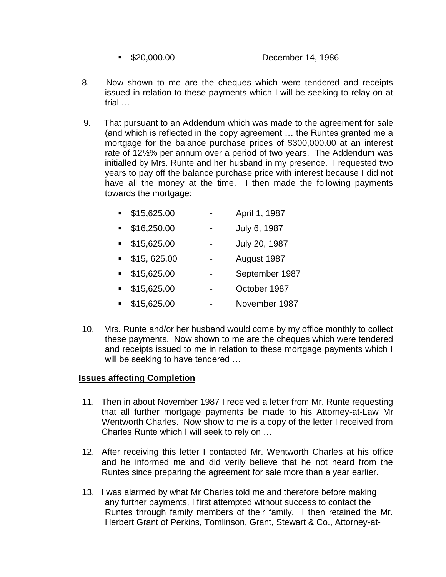- **520,000.00** December 14, 1986
- 8. Now shown to me are the cheques which were tendered and receipts issued in relation to these payments which I will be seeking to relay on at trial …
- 9. That pursuant to an Addendum which was made to the agreement for sale (and which is reflected in the copy agreement … the Runtes granted me a mortgage for the balance purchase prices of \$300,000.00 at an interest rate of 12½% per annum over a period of two years. The Addendum was initialled by Mrs. Runte and her husband in my presence. I requested two years to pay off the balance purchase price with interest because I did not have all the money at the time. I then made the following payments towards the mortgage:

| $\blacksquare$ | \$15,625.00 | April 1, 1987  |
|----------------|-------------|----------------|
| $\blacksquare$ | \$16,250.00 | July 6, 1987   |
| $\blacksquare$ | \$15,625.00 | July 20, 1987  |
| $\blacksquare$ | \$15,625.00 | August 1987    |
| $\blacksquare$ | \$15,625.00 | September 1987 |
| $\blacksquare$ | \$15,625.00 | October 1987   |
|                | \$15,625.00 | November 1987  |

10. Mrs. Runte and/or her husband would come by my office monthly to collect these payments. Now shown to me are the cheques which were tendered and receipts issued to me in relation to these mortgage payments which I will be seeking to have tendered ...

## **Issues affecting Completion**

- 11. Then in about November 1987 I received a letter from Mr. Runte requesting that all further mortgage payments be made to his Attorney-at-Law Mr Wentworth Charles. Now show to me is a copy of the letter I received from Charles Runte which I will seek to rely on …
- 12. After receiving this letter I contacted Mr. Wentworth Charles at his office and he informed me and did verily believe that he not heard from the Runtes since preparing the agreement for sale more than a year earlier.
- 13. I was alarmed by what Mr Charles told me and therefore before making any further payments, I first attempted without success to contact the Runtes through family members of their family. I then retained the Mr. Herbert Grant of Perkins, Tomlinson, Grant, Stewart & Co., Attorney-at-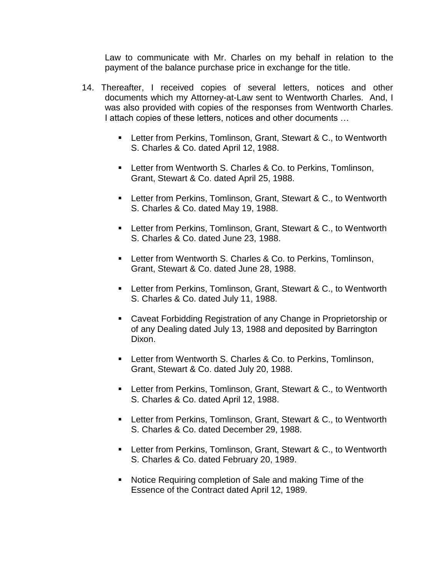Law to communicate with Mr. Charles on my behalf in relation to the payment of the balance purchase price in exchange for the title.

- 14. Thereafter, I received copies of several letters, notices and other documents which my Attorney-at-Law sent to Wentworth Charles. And, I was also provided with copies of the responses from Wentworth Charles. I attach copies of these letters, notices and other documents …
	- **EXECT:** Letter from Perkins, Tomlinson, Grant, Stewart & C., to Wentworth S. Charles & Co. dated April 12, 1988.
	- **EXECTE:** Letter from Wentworth S. Charles & Co. to Perkins, Tomlinson, Grant, Stewart & Co. dated April 25, 1988.
	- **EXECT:** Letter from Perkins, Tomlinson, Grant, Stewart & C., to Wentworth S. Charles & Co. dated May 19, 1988.
	- **EXECT:** Letter from Perkins, Tomlinson, Grant, Stewart & C., to Wentworth S. Charles & Co. dated June 23, 1988.
	- **EXECT:** Letter from Wentworth S. Charles & Co. to Perkins, Tomlinson, Grant, Stewart & Co. dated June 28, 1988.
	- **EXECT:** Letter from Perkins, Tomlinson, Grant, Stewart & C., to Wentworth S. Charles & Co. dated July 11, 1988.
	- Caveat Forbidding Registration of any Change in Proprietorship or of any Dealing dated July 13, 1988 and deposited by Barrington Dixon.
	- **EXECT:** Letter from Wentworth S. Charles & Co. to Perkins, Tomlinson, Grant, Stewart & Co. dated July 20, 1988.
	- **EXECT:** Letter from Perkins, Tomlinson, Grant, Stewart & C., to Wentworth S. Charles & Co. dated April 12, 1988.
	- Letter from Perkins, Tomlinson, Grant, Stewart & C., to Wentworth S. Charles & Co. dated December 29, 1988.
	- **EXECT:** Letter from Perkins, Tomlinson, Grant, Stewart & C., to Wentworth S. Charles & Co. dated February 20, 1989.
	- Notice Requiring completion of Sale and making Time of the Essence of the Contract dated April 12, 1989.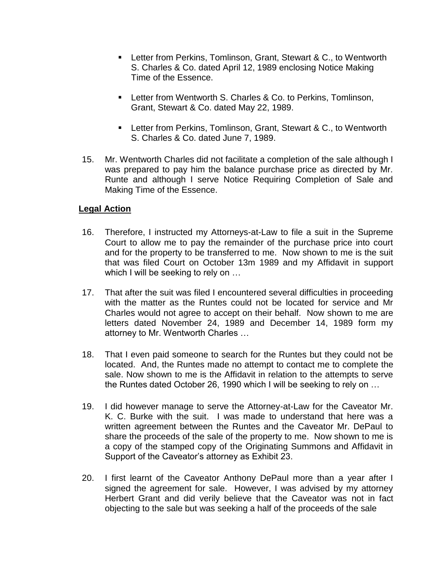- **EXECT:** Letter from Perkins, Tomlinson, Grant, Stewart & C., to Wentworth S. Charles & Co. dated April 12, 1989 enclosing Notice Making Time of the Essence.
- **EXECT:** Letter from Wentworth S. Charles & Co. to Perkins, Tomlinson, Grant, Stewart & Co. dated May 22, 1989.
- Letter from Perkins, Tomlinson, Grant, Stewart & C., to Wentworth S. Charles & Co. dated June 7, 1989.
- 15. Mr. Wentworth Charles did not facilitate a completion of the sale although I was prepared to pay him the balance purchase price as directed by Mr. Runte and although I serve Notice Requiring Completion of Sale and Making Time of the Essence.

## **Legal Action**

- 16. Therefore, I instructed my Attorneys-at-Law to file a suit in the Supreme Court to allow me to pay the remainder of the purchase price into court and for the property to be transferred to me. Now shown to me is the suit that was filed Court on October 13m 1989 and my Affidavit in support which I will be seeking to rely on ...
- 17. That after the suit was filed I encountered several difficulties in proceeding with the matter as the Runtes could not be located for service and Mr Charles would not agree to accept on their behalf. Now shown to me are letters dated November 24, 1989 and December 14, 1989 form my attorney to Mr. Wentworth Charles …
- 18. That I even paid someone to search for the Runtes but they could not be located. And, the Runtes made no attempt to contact me to complete the sale. Now shown to me is the Affidavit in relation to the attempts to serve the Runtes dated October 26, 1990 which I will be seeking to rely on …
- 19. I did however manage to serve the Attorney-at-Law for the Caveator Mr. K. C. Burke with the suit. I was made to understand that here was a written agreement between the Runtes and the Caveator Mr. DePaul to share the proceeds of the sale of the property to me. Now shown to me is a copy of the stamped copy of the Originating Summons and Affidavit in Support of the Caveator's attorney as Exhibit 23.
- 20. I first learnt of the Caveator Anthony DePaul more than a year after I signed the agreement for sale. However, I was advised by my attorney Herbert Grant and did verily believe that the Caveator was not in fact objecting to the sale but was seeking a half of the proceeds of the sale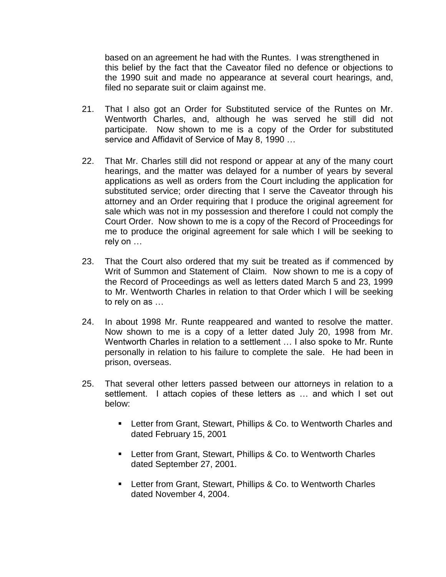based on an agreement he had with the Runtes. I was strengthened in this belief by the fact that the Caveator filed no defence or objections to the 1990 suit and made no appearance at several court hearings, and, filed no separate suit or claim against me.

- 21. That I also got an Order for Substituted service of the Runtes on Mr. Wentworth Charles, and, although he was served he still did not participate. Now shown to me is a copy of the Order for substituted service and Affidavit of Service of May 8, 1990 …
- 22. That Mr. Charles still did not respond or appear at any of the many court hearings, and the matter was delayed for a number of years by several applications as well as orders from the Court including the application for substituted service; order directing that I serve the Caveator through his attorney and an Order requiring that I produce the original agreement for sale which was not in my possession and therefore I could not comply the Court Order. Now shown to me is a copy of the Record of Proceedings for me to produce the original agreement for sale which I will be seeking to rely on …
- 23. That the Court also ordered that my suit be treated as if commenced by Writ of Summon and Statement of Claim. Now shown to me is a copy of the Record of Proceedings as well as letters dated March 5 and 23, 1999 to Mr. Wentworth Charles in relation to that Order which I will be seeking to rely on as …
- 24. In about 1998 Mr. Runte reappeared and wanted to resolve the matter. Now shown to me is a copy of a letter dated July 20, 1998 from Mr. Wentworth Charles in relation to a settlement … I also spoke to Mr. Runte personally in relation to his failure to complete the sale. He had been in prison, overseas.
- 25. That several other letters passed between our attorneys in relation to a settlement. I attach copies of these letters as ... and which I set out below:
	- Letter from Grant, Stewart, Phillips & Co. to Wentworth Charles and dated February 15, 2001
	- Letter from Grant, Stewart, Phillips & Co. to Wentworth Charles dated September 27, 2001.
	- Letter from Grant, Stewart, Phillips & Co. to Wentworth Charles dated November 4, 2004.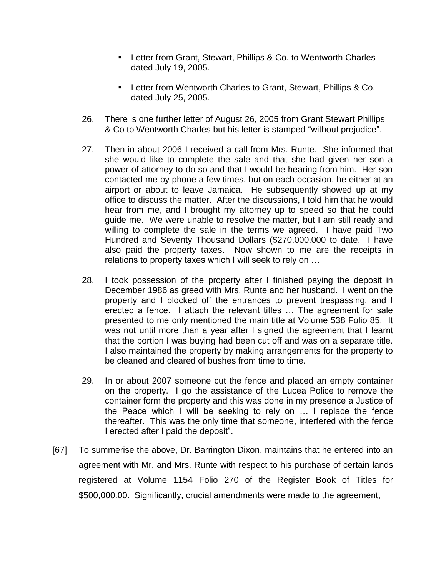- Letter from Grant, Stewart, Phillips & Co. to Wentworth Charles dated July 19, 2005.
- Letter from Wentworth Charles to Grant, Stewart, Phillips & Co. dated July 25, 2005.
- 26. There is one further letter of August 26, 2005 from Grant Stewart Phillips & Co to Wentworth Charles but his letter is stamped "without prejudice".
- 27. Then in about 2006 I received a call from Mrs. Runte. She informed that she would like to complete the sale and that she had given her son a power of attorney to do so and that I would be hearing from him. Her son contacted me by phone a few times, but on each occasion, he either at an airport or about to leave Jamaica. He subsequently showed up at my office to discuss the matter. After the discussions, I told him that he would hear from me, and I brought my attorney up to speed so that he could guide me. We were unable to resolve the matter, but I am still ready and willing to complete the sale in the terms we agreed. I have paid Two Hundred and Seventy Thousand Dollars (\$270,000.000 to date. I have also paid the property taxes. Now shown to me are the receipts in relations to property taxes which I will seek to rely on …
- 28. I took possession of the property after I finished paying the deposit in December 1986 as greed with Mrs. Runte and her husband. I went on the property and I blocked off the entrances to prevent trespassing, and I erected a fence. I attach the relevant titles … The agreement for sale presented to me only mentioned the main title at Volume 538 Folio 85. It was not until more than a year after I signed the agreement that I learnt that the portion I was buying had been cut off and was on a separate title. I also maintained the property by making arrangements for the property to be cleaned and cleared of bushes from time to time.
- 29. In or about 2007 someone cut the fence and placed an empty container on the property. I go the assistance of the Lucea Police to remove the container form the property and this was done in my presence a Justice of the Peace which I will be seeking to rely on … I replace the fence thereafter. This was the only time that someone, interfered with the fence I erected after I paid the deposit".
- [67] To summerise the above, Dr. Barrington Dixon, maintains that he entered into an agreement with Mr. and Mrs. Runte with respect to his purchase of certain lands registered at Volume 1154 Folio 270 of the Register Book of Titles for \$500,000.00. Significantly, crucial amendments were made to the agreement,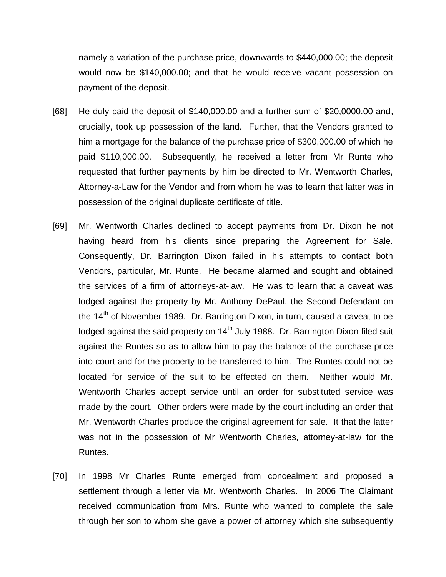namely a variation of the purchase price, downwards to \$440,000.00; the deposit would now be \$140,000.00; and that he would receive vacant possession on payment of the deposit.

- [68] He duly paid the deposit of \$140,000.00 and a further sum of \$20,0000.00 and, crucially, took up possession of the land. Further, that the Vendors granted to him a mortgage for the balance of the purchase price of \$300,000.00 of which he paid \$110,000.00. Subsequently, he received a letter from Mr Runte who requested that further payments by him be directed to Mr. Wentworth Charles, Attorney-a-Law for the Vendor and from whom he was to learn that latter was in possession of the original duplicate certificate of title.
- [69] Mr. Wentworth Charles declined to accept payments from Dr. Dixon he not having heard from his clients since preparing the Agreement for Sale. Consequently, Dr. Barrington Dixon failed in his attempts to contact both Vendors, particular, Mr. Runte. He became alarmed and sought and obtained the services of a firm of attorneys-at-law. He was to learn that a caveat was lodged against the property by Mr. Anthony DePaul, the Second Defendant on the  $14<sup>th</sup>$  of November 1989. Dr. Barrington Dixon, in turn, caused a caveat to be lodged against the said property on  $14<sup>th</sup>$  July 1988. Dr. Barrington Dixon filed suit against the Runtes so as to allow him to pay the balance of the purchase price into court and for the property to be transferred to him. The Runtes could not be located for service of the suit to be effected on them. Neither would Mr. Wentworth Charles accept service until an order for substituted service was made by the court. Other orders were made by the court including an order that Mr. Wentworth Charles produce the original agreement for sale. It that the latter was not in the possession of Mr Wentworth Charles, attorney-at-law for the Runtes.
- [70] In 1998 Mr Charles Runte emerged from concealment and proposed a settlement through a letter via Mr. Wentworth Charles. In 2006 The Claimant received communication from Mrs. Runte who wanted to complete the sale through her son to whom she gave a power of attorney which she subsequently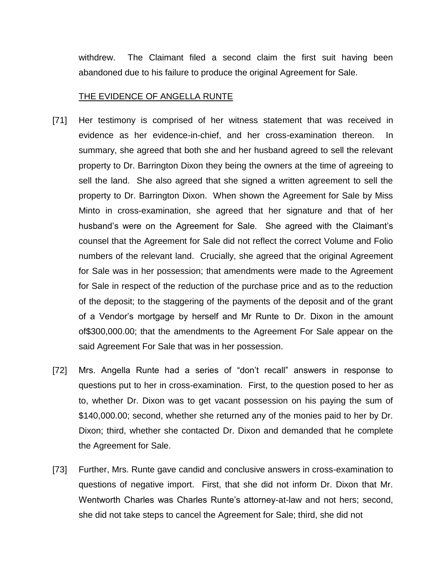withdrew. The Claimant filed a second claim the first suit having been abandoned due to his failure to produce the original Agreement for Sale.

#### THE EVIDENCE OF ANGELLA RUNTE

- [71] Her testimony is comprised of her witness statement that was received in evidence as her evidence-in-chief, and her cross-examination thereon. In summary, she agreed that both she and her husband agreed to sell the relevant property to Dr. Barrington Dixon they being the owners at the time of agreeing to sell the land. She also agreed that she signed a written agreement to sell the property to Dr. Barrington Dixon. When shown the Agreement for Sale by Miss Minto in cross-examination, she agreed that her signature and that of her husband's were on the Agreement for Sale. She agreed with the Claimant's counsel that the Agreement for Sale did not reflect the correct Volume and Folio numbers of the relevant land. Crucially, she agreed that the original Agreement for Sale was in her possession; that amendments were made to the Agreement for Sale in respect of the reduction of the purchase price and as to the reduction of the deposit; to the staggering of the payments of the deposit and of the grant of a Vendor's mortgage by herself and Mr Runte to Dr. Dixon in the amount of\$300,000.00; that the amendments to the Agreement For Sale appear on the said Agreement For Sale that was in her possession.
- [72] Mrs. Angella Runte had a series of "don't recall" answers in response to questions put to her in cross-examination. First, to the question posed to her as to, whether Dr. Dixon was to get vacant possession on his paying the sum of \$140,000.00; second, whether she returned any of the monies paid to her by Dr. Dixon; third, whether she contacted Dr. Dixon and demanded that he complete the Agreement for Sale.
- [73] Further, Mrs. Runte gave candid and conclusive answers in cross-examination to questions of negative import. First, that she did not inform Dr. Dixon that Mr. Wentworth Charles was Charles Runte's attorney-at-law and not hers; second, she did not take steps to cancel the Agreement for Sale; third, she did not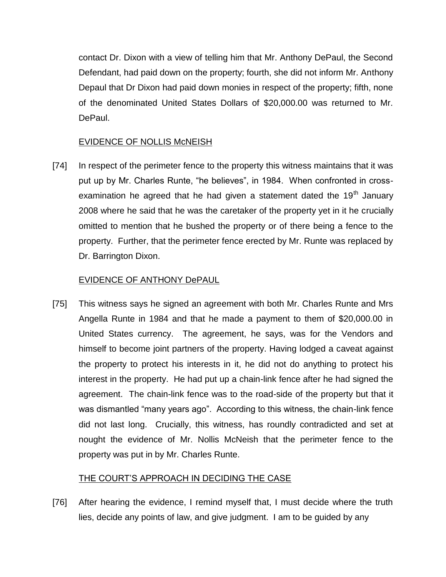contact Dr. Dixon with a view of telling him that Mr. Anthony DePaul, the Second Defendant, had paid down on the property; fourth, she did not inform Mr. Anthony Depaul that Dr Dixon had paid down monies in respect of the property; fifth, none of the denominated United States Dollars of \$20,000.00 was returned to Mr. DePaul.

## EVIDENCE OF NOLLIS McNEISH

[74] In respect of the perimeter fence to the property this witness maintains that it was put up by Mr. Charles Runte, "he believes", in 1984. When confronted in crossexamination he agreed that he had given a statement dated the 19<sup>th</sup> January 2008 where he said that he was the caretaker of the property yet in it he crucially omitted to mention that he bushed the property or of there being a fence to the property. Further, that the perimeter fence erected by Mr. Runte was replaced by Dr. Barrington Dixon.

# EVIDENCE OF ANTHONY DePAUL

[75] This witness says he signed an agreement with both Mr. Charles Runte and Mrs Angella Runte in 1984 and that he made a payment to them of \$20,000.00 in United States currency. The agreement, he says, was for the Vendors and himself to become joint partners of the property. Having lodged a caveat against the property to protect his interests in it, he did not do anything to protect his interest in the property. He had put up a chain-link fence after he had signed the agreement. The chain-link fence was to the road-side of the property but that it was dismantled "many years ago". According to this witness, the chain-link fence did not last long. Crucially, this witness, has roundly contradicted and set at nought the evidence of Mr. Nollis McNeish that the perimeter fence to the property was put in by Mr. Charles Runte.

## THE COURT'S APPROACH IN DECIDING THE CASE

[76] After hearing the evidence, I remind myself that, I must decide where the truth lies, decide any points of law, and give judgment. I am to be guided by any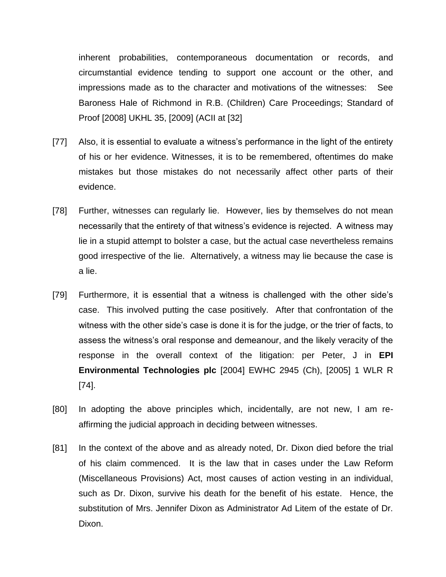inherent probabilities, contemporaneous documentation or records, and circumstantial evidence tending to support one account or the other, and impressions made as to the character and motivations of the witnesses: See Baroness Hale of Richmond in R.B. (Children) Care Proceedings; Standard of Proof [2008] UKHL 35, [2009] (ACII at [32]

- [77] Also, it is essential to evaluate a witness's performance in the light of the entirety of his or her evidence. Witnesses, it is to be remembered, oftentimes do make mistakes but those mistakes do not necessarily affect other parts of their evidence.
- [78] Further, witnesses can regularly lie. However, lies by themselves do not mean necessarily that the entirety of that witness's evidence is rejected. A witness may lie in a stupid attempt to bolster a case, but the actual case nevertheless remains good irrespective of the lie. Alternatively, a witness may lie because the case is a lie.
- [79] Furthermore, it is essential that a witness is challenged with the other side's case. This involved putting the case positively. After that confrontation of the witness with the other side's case is done it is for the judge, or the trier of facts, to assess the witness's oral response and demeanour, and the likely veracity of the response in the overall context of the litigation: per Peter, J in **EPI Environmental Technologies plc** [2004] EWHC 2945 (Ch), [2005] 1 WLR R [74].
- [80] In adopting the above principles which, incidentally, are not new, I am reaffirming the judicial approach in deciding between witnesses.
- [81] In the context of the above and as already noted, Dr. Dixon died before the trial of his claim commenced. It is the law that in cases under the Law Reform (Miscellaneous Provisions) Act, most causes of action vesting in an individual, such as Dr. Dixon, survive his death for the benefit of his estate. Hence, the substitution of Mrs. Jennifer Dixon as Administrator Ad Litem of the estate of Dr. Dixon.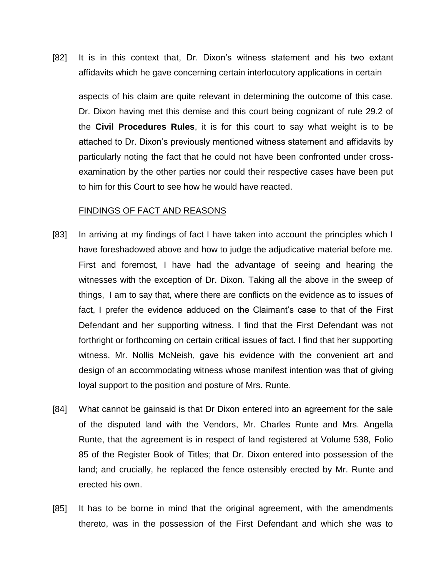[82] It is in this context that, Dr. Dixon's witness statement and his two extant affidavits which he gave concerning certain interlocutory applications in certain

aspects of his claim are quite relevant in determining the outcome of this case. Dr. Dixon having met this demise and this court being cognizant of rule 29.2 of the **Civil Procedures Rules**, it is for this court to say what weight is to be attached to Dr. Dixon's previously mentioned witness statement and affidavits by particularly noting the fact that he could not have been confronted under crossexamination by the other parties nor could their respective cases have been put to him for this Court to see how he would have reacted.

#### FINDINGS OF FACT AND REASONS

- [83] In arriving at my findings of fact I have taken into account the principles which I have foreshadowed above and how to judge the adjudicative material before me. First and foremost, I have had the advantage of seeing and hearing the witnesses with the exception of Dr. Dixon. Taking all the above in the sweep of things, I am to say that, where there are conflicts on the evidence as to issues of fact, I prefer the evidence adduced on the Claimant's case to that of the First Defendant and her supporting witness. I find that the First Defendant was not forthright or forthcoming on certain critical issues of fact. I find that her supporting witness, Mr. Nollis McNeish, gave his evidence with the convenient art and design of an accommodating witness whose manifest intention was that of giving loyal support to the position and posture of Mrs. Runte.
- [84] What cannot be gainsaid is that Dr Dixon entered into an agreement for the sale of the disputed land with the Vendors, Mr. Charles Runte and Mrs. Angella Runte, that the agreement is in respect of land registered at Volume 538, Folio 85 of the Register Book of Titles; that Dr. Dixon entered into possession of the land; and crucially, he replaced the fence ostensibly erected by Mr. Runte and erected his own.
- [85] It has to be borne in mind that the original agreement, with the amendments thereto, was in the possession of the First Defendant and which she was to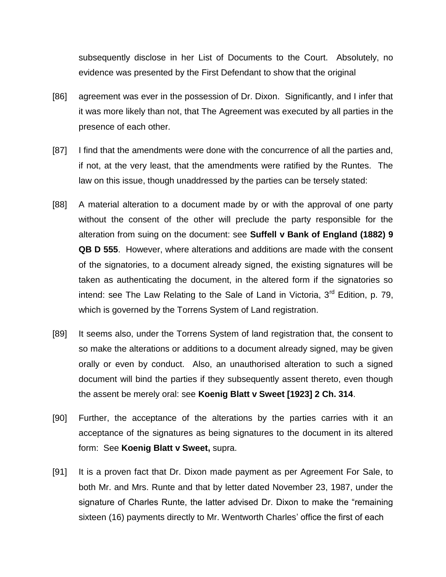subsequently disclose in her List of Documents to the Court. Absolutely, no evidence was presented by the First Defendant to show that the original

- [86] agreement was ever in the possession of Dr. Dixon. Significantly, and I infer that it was more likely than not, that The Agreement was executed by all parties in the presence of each other.
- [87] I find that the amendments were done with the concurrence of all the parties and, if not, at the very least, that the amendments were ratified by the Runtes. The law on this issue, though unaddressed by the parties can be tersely stated:
- [88] A material alteration to a document made by or with the approval of one party without the consent of the other will preclude the party responsible for the alteration from suing on the document: see **Suffell v Bank of England (1882) 9 QB D 555**. However, where alterations and additions are made with the consent of the signatories, to a document already signed, the existing signatures will be taken as authenticating the document, in the altered form if the signatories so intend: see The Law Relating to the Sale of Land in Victoria,  $3<sup>rd</sup>$  Edition, p. 79, which is governed by the Torrens System of Land registration.
- [89] It seems also, under the Torrens System of land registration that, the consent to so make the alterations or additions to a document already signed, may be given orally or even by conduct. Also, an unauthorised alteration to such a signed document will bind the parties if they subsequently assent thereto, even though the assent be merely oral: see **Koenig Blatt v Sweet [1923] 2 Ch. 314**.
- [90] Further, the acceptance of the alterations by the parties carries with it an acceptance of the signatures as being signatures to the document in its altered form: See **Koenig Blatt v Sweet,** supra.
- [91] It is a proven fact that Dr. Dixon made payment as per Agreement For Sale, to both Mr. and Mrs. Runte and that by letter dated November 23, 1987, under the signature of Charles Runte, the latter advised Dr. Dixon to make the "remaining sixteen (16) payments directly to Mr. Wentworth Charles' office the first of each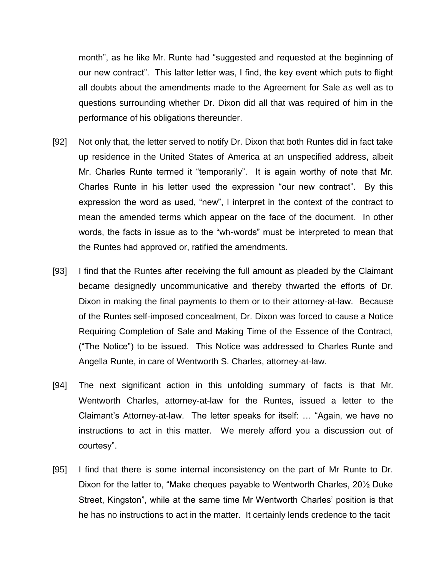month", as he like Mr. Runte had "suggested and requested at the beginning of our new contract". This latter letter was, I find, the key event which puts to flight all doubts about the amendments made to the Agreement for Sale as well as to questions surrounding whether Dr. Dixon did all that was required of him in the performance of his obligations thereunder.

- [92] Not only that, the letter served to notify Dr. Dixon that both Runtes did in fact take up residence in the United States of America at an unspecified address, albeit Mr. Charles Runte termed it "temporarily". It is again worthy of note that Mr. Charles Runte in his letter used the expression "our new contract". By this expression the word as used, "new", I interpret in the context of the contract to mean the amended terms which appear on the face of the document. In other words, the facts in issue as to the "wh-words" must be interpreted to mean that the Runtes had approved or, ratified the amendments.
- [93] I find that the Runtes after receiving the full amount as pleaded by the Claimant became designedly uncommunicative and thereby thwarted the efforts of Dr. Dixon in making the final payments to them or to their attorney-at-law. Because of the Runtes self-imposed concealment, Dr. Dixon was forced to cause a Notice Requiring Completion of Sale and Making Time of the Essence of the Contract, ("The Notice") to be issued. This Notice was addressed to Charles Runte and Angella Runte, in care of Wentworth S. Charles, attorney-at-law.
- [94] The next significant action in this unfolding summary of facts is that Mr. Wentworth Charles, attorney-at-law for the Runtes, issued a letter to the Claimant's Attorney-at-law. The letter speaks for itself: … "Again, we have no instructions to act in this matter. We merely afford you a discussion out of courtesy".
- [95] I find that there is some internal inconsistency on the part of Mr Runte to Dr. Dixon for the latter to, "Make cheques payable to Wentworth Charles, 20½ Duke Street, Kingston", while at the same time Mr Wentworth Charles' position is that he has no instructions to act in the matter. It certainly lends credence to the tacit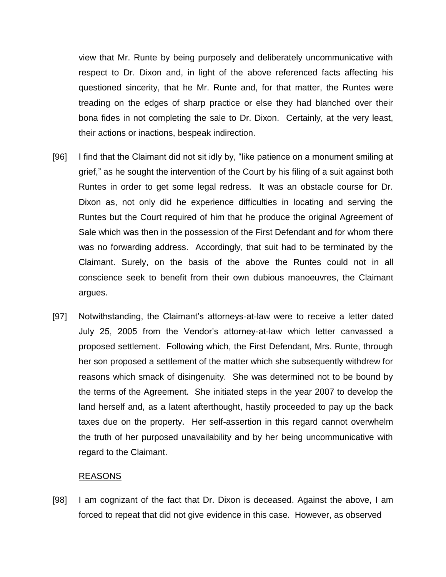view that Mr. Runte by being purposely and deliberately uncommunicative with respect to Dr. Dixon and, in light of the above referenced facts affecting his questioned sincerity, that he Mr. Runte and, for that matter, the Runtes were treading on the edges of sharp practice or else they had blanched over their bona fides in not completing the sale to Dr. Dixon. Certainly, at the very least, their actions or inactions, bespeak indirection.

- [96] I find that the Claimant did not sit idly by, "like patience on a monument smiling at grief," as he sought the intervention of the Court by his filing of a suit against both Runtes in order to get some legal redress. It was an obstacle course for Dr. Dixon as, not only did he experience difficulties in locating and serving the Runtes but the Court required of him that he produce the original Agreement of Sale which was then in the possession of the First Defendant and for whom there was no forwarding address. Accordingly, that suit had to be terminated by the Claimant. Surely, on the basis of the above the Runtes could not in all conscience seek to benefit from their own dubious manoeuvres, the Claimant argues.
- [97] Notwithstanding, the Claimant's attorneys-at-law were to receive a letter dated July 25, 2005 from the Vendor's attorney-at-law which letter canvassed a proposed settlement. Following which, the First Defendant, Mrs. Runte, through her son proposed a settlement of the matter which she subsequently withdrew for reasons which smack of disingenuity. She was determined not to be bound by the terms of the Agreement. She initiated steps in the year 2007 to develop the land herself and, as a latent afterthought, hastily proceeded to pay up the back taxes due on the property. Her self-assertion in this regard cannot overwhelm the truth of her purposed unavailability and by her being uncommunicative with regard to the Claimant.

## REASONS

[98] I am cognizant of the fact that Dr. Dixon is deceased. Against the above, I am forced to repeat that did not give evidence in this case. However, as observed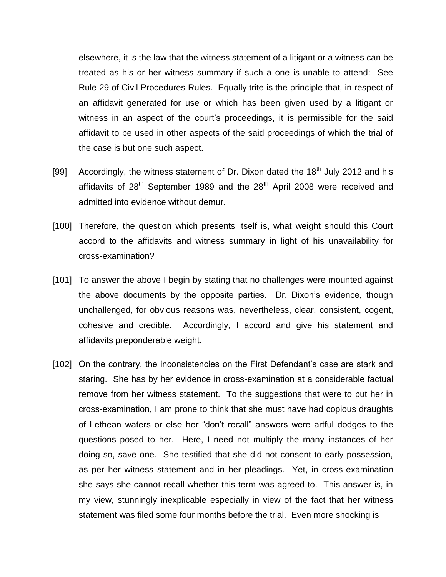elsewhere, it is the law that the witness statement of a litigant or a witness can be treated as his or her witness summary if such a one is unable to attend: See Rule 29 of Civil Procedures Rules. Equally trite is the principle that, in respect of an affidavit generated for use or which has been given used by a litigant or witness in an aspect of the court's proceedings, it is permissible for the said affidavit to be used in other aspects of the said proceedings of which the trial of the case is but one such aspect.

- [99] Accordingly, the witness statement of Dr. Dixon dated the  $18<sup>th</sup>$  July 2012 and his affidavits of  $28<sup>th</sup>$  September 1989 and the  $28<sup>th</sup>$  April 2008 were received and admitted into evidence without demur.
- [100] Therefore, the question which presents itself is, what weight should this Court accord to the affidavits and witness summary in light of his unavailability for cross-examination?
- [101] To answer the above I begin by stating that no challenges were mounted against the above documents by the opposite parties. Dr. Dixon's evidence, though unchallenged, for obvious reasons was, nevertheless, clear, consistent, cogent, cohesive and credible. Accordingly, I accord and give his statement and affidavits preponderable weight.
- [102] On the contrary, the inconsistencies on the First Defendant's case are stark and staring. She has by her evidence in cross-examination at a considerable factual remove from her witness statement. To the suggestions that were to put her in cross-examination, I am prone to think that she must have had copious draughts of Lethean waters or else her "don't recall" answers were artful dodges to the questions posed to her. Here, I need not multiply the many instances of her doing so, save one. She testified that she did not consent to early possession, as per her witness statement and in her pleadings. Yet, in cross-examination she says she cannot recall whether this term was agreed to. This answer is, in my view, stunningly inexplicable especially in view of the fact that her witness statement was filed some four months before the trial. Even more shocking is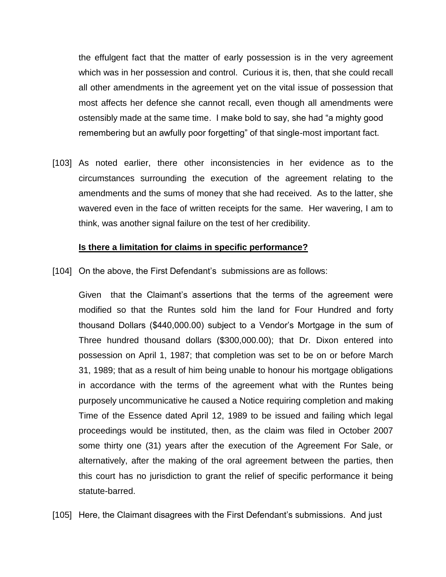the effulgent fact that the matter of early possession is in the very agreement which was in her possession and control. Curious it is, then, that she could recall all other amendments in the agreement yet on the vital issue of possession that most affects her defence she cannot recall, even though all amendments were ostensibly made at the same time. I make bold to say, she had "a mighty good remembering but an awfully poor forgetting" of that single-most important fact.

[103] As noted earlier, there other inconsistencies in her evidence as to the circumstances surrounding the execution of the agreement relating to the amendments and the sums of money that she had received. As to the latter, she wavered even in the face of written receipts for the same. Her wavering, I am to think, was another signal failure on the test of her credibility.

#### **Is there a limitation for claims in specific performance?**

[104] On the above, the First Defendant's submissions are as follows:

Given that the Claimant's assertions that the terms of the agreement were modified so that the Runtes sold him the land for Four Hundred and forty thousand Dollars (\$440,000.00) subject to a Vendor's Mortgage in the sum of Three hundred thousand dollars (\$300,000.00); that Dr. Dixon entered into possession on April 1, 1987; that completion was set to be on or before March 31, 1989; that as a result of him being unable to honour his mortgage obligations in accordance with the terms of the agreement what with the Runtes being purposely uncommunicative he caused a Notice requiring completion and making Time of the Essence dated April 12, 1989 to be issued and failing which legal proceedings would be instituted, then, as the claim was filed in October 2007 some thirty one (31) years after the execution of the Agreement For Sale, or alternatively, after the making of the oral agreement between the parties, then this court has no jurisdiction to grant the relief of specific performance it being statute-barred.

[105] Here, the Claimant disagrees with the First Defendant's submissions. And just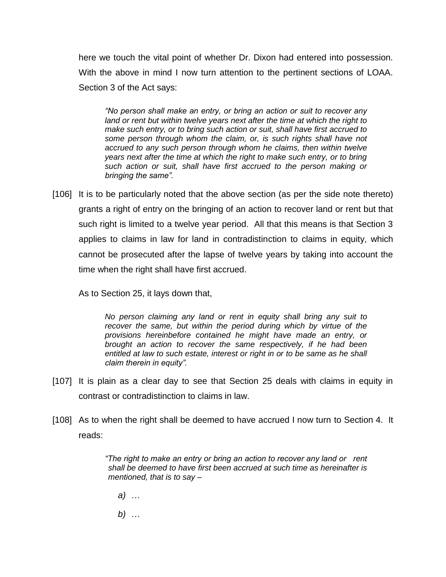here we touch the vital point of whether Dr. Dixon had entered into possession. With the above in mind I now turn attention to the pertinent sections of LOAA. Section 3 of the Act says:

*"No person shall make an entry, or bring an action or suit to recover any*  land or rent but within twelve years next after the time at which the right to *make such entry, or to bring such action or suit, shall have first accrued to some person through whom the claim, or, is such rights shall have not accrued to any such person through whom he claims, then within twelve years next after the time at which the right to make such entry, or to bring such action or suit, shall have first accrued to the person making or bringing the same".*

[106] It is to be particularly noted that the above section (as per the side note thereto) grants a right of entry on the bringing of an action to recover land or rent but that such right is limited to a twelve year period. All that this means is that Section 3 applies to claims in law for land in contradistinction to claims in equity, which cannot be prosecuted after the lapse of twelve years by taking into account the time when the right shall have first accrued.

As to Section 25, it lays down that,

*No person claiming any land or rent in equity shall bring any suit to recover the same, but within the period during which by virtue of the provisions hereinbefore contained he might have made an entry, or brought an action to recover the same respectively, if he had been entitled at law to such estate, interest or right in or to be same as he shall claim therein in equity".*

- [107] It is plain as a clear day to see that Section 25 deals with claims in equity in contrast or contradistinction to claims in law.
- [108] As to when the right shall be deemed to have accrued I now turn to Section 4. It reads:

*"The right to make an entry or bring an action to recover any land or rent shall be deemed to have first been accrued at such time as hereinafter is mentioned, that is to say –*

*a) …*

*b) …*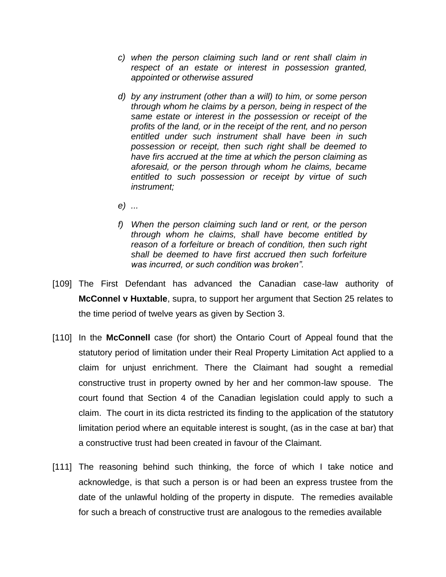- *c) when the person claiming such land or rent shall claim in respect of an estate or interest in possession granted, appointed or otherwise assured*
- *d) by any instrument (other than a will) to him, or some person through whom he claims by a person, being in respect of the same estate or interest in the possession or receipt of the profits of the land, or in the receipt of the rent, and no person entitled under such instrument shall have been in such possession or receipt, then such right shall be deemed to have firs accrued at the time at which the person claiming as aforesaid, or the person through whom he claims, became entitled to such possession or receipt by virtue of such instrument;*
- *e) ...*
- *f) When the person claiming such land or rent, or the person through whom he claims, shall have become entitled by reason of a forfeiture or breach of condition, then such right shall be deemed to have first accrued then such forfeiture was incurred, or such condition was broken".*
- [109] The First Defendant has advanced the Canadian case-law authority of **McConnel v Huxtable**, supra, to support her argument that Section 25 relates to the time period of twelve years as given by Section 3.
- [110] In the **McConnell** case (for short) the Ontario Court of Appeal found that the statutory period of limitation under their Real Property Limitation Act applied to a claim for unjust enrichment. There the Claimant had sought a remedial constructive trust in property owned by her and her common-law spouse. The court found that Section 4 of the Canadian legislation could apply to such a claim. The court in its dicta restricted its finding to the application of the statutory limitation period where an equitable interest is sought, (as in the case at bar) that a constructive trust had been created in favour of the Claimant.
- [111] The reasoning behind such thinking, the force of which I take notice and acknowledge, is that such a person is or had been an express trustee from the date of the unlawful holding of the property in dispute. The remedies available for such a breach of constructive trust are analogous to the remedies available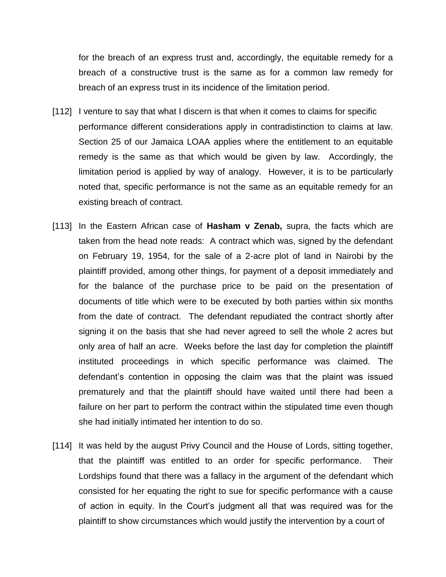for the breach of an express trust and, accordingly, the equitable remedy for a breach of a constructive trust is the same as for a common law remedy for breach of an express trust in its incidence of the limitation period.

- [112] I venture to say that what I discern is that when it comes to claims for specific performance different considerations apply in contradistinction to claims at law. Section 25 of our Jamaica LOAA applies where the entitlement to an equitable remedy is the same as that which would be given by law. Accordingly, the limitation period is applied by way of analogy. However, it is to be particularly noted that, specific performance is not the same as an equitable remedy for an existing breach of contract.
- [113] In the Eastern African case of **Hasham v Zenab,** supra, the facts which are taken from the head note reads: A contract which was, signed by the defendant on February 19, 1954, for the sale of a 2-acre plot of land in Nairobi by the plaintiff provided, among other things, for payment of a deposit immediately and for the balance of the purchase price to be paid on the presentation of documents of title which were to be executed by both parties within six months from the date of contract. The defendant repudiated the contract shortly after signing it on the basis that she had never agreed to sell the whole 2 acres but only area of half an acre. Weeks before the last day for completion the plaintiff instituted proceedings in which specific performance was claimed. The defendant's contention in opposing the claim was that the plaint was issued prematurely and that the plaintiff should have waited until there had been a failure on her part to perform the contract within the stipulated time even though she had initially intimated her intention to do so.
- [114] It was held by the august Privy Council and the House of Lords, sitting together, that the plaintiff was entitled to an order for specific performance. Their Lordships found that there was a fallacy in the argument of the defendant which consisted for her equating the right to sue for specific performance with a cause of action in equity. In the Court's judgment all that was required was for the plaintiff to show circumstances which would justify the intervention by a court of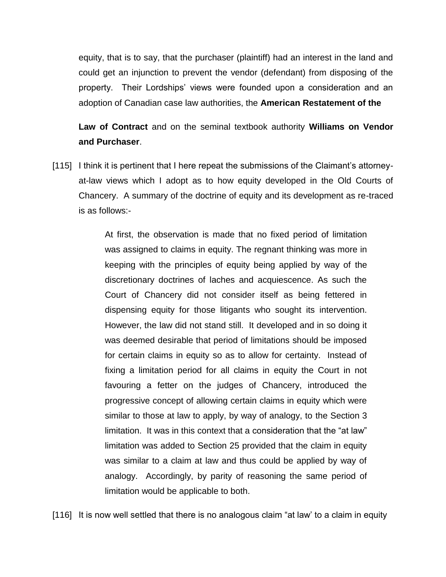equity, that is to say, that the purchaser (plaintiff) had an interest in the land and could get an injunction to prevent the vendor (defendant) from disposing of the property. Their Lordships' views were founded upon a consideration and an adoption of Canadian case law authorities, the **American Restatement of the** 

**Law of Contract** and on the seminal textbook authority **Williams on Vendor and Purchaser**.

[115] I think it is pertinent that I here repeat the submissions of the Claimant's attorneyat-law views which I adopt as to how equity developed in the Old Courts of Chancery. A summary of the doctrine of equity and its development as re-traced is as follows:-

> At first, the observation is made that no fixed period of limitation was assigned to claims in equity. The regnant thinking was more in keeping with the principles of equity being applied by way of the discretionary doctrines of laches and acquiescence. As such the Court of Chancery did not consider itself as being fettered in dispensing equity for those litigants who sought its intervention. However, the law did not stand still. It developed and in so doing it was deemed desirable that period of limitations should be imposed for certain claims in equity so as to allow for certainty. Instead of fixing a limitation period for all claims in equity the Court in not favouring a fetter on the judges of Chancery, introduced the progressive concept of allowing certain claims in equity which were similar to those at law to apply, by way of analogy, to the Section 3 limitation. It was in this context that a consideration that the "at law" limitation was added to Section 25 provided that the claim in equity was similar to a claim at law and thus could be applied by way of analogy. Accordingly, by parity of reasoning the same period of limitation would be applicable to both.

[116] It is now well settled that there is no analogous claim "at law' to a claim in equity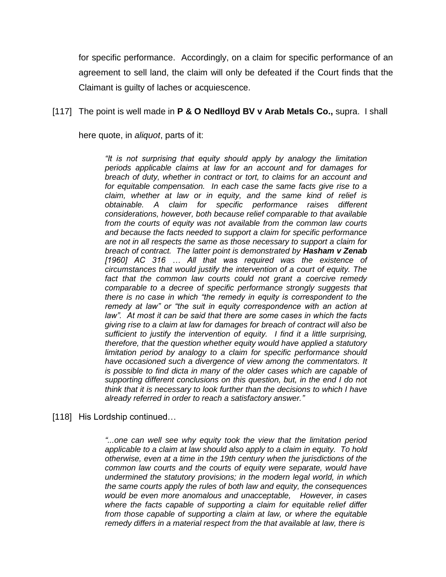for specific performance. Accordingly, on a claim for specific performance of an agreement to sell land, the claim will only be defeated if the Court finds that the Claimant is guilty of laches or acquiescence.

#### [117] The point is well made in **P & O Nedlloyd BV v Arab Metals Co.,** supra. I shall

here quote, in *aliquot*, parts of it:

*"It is not surprising that equity should apply by analogy the limitation periods applicable claims at law for an account and for damages for breach of duty, whether in contract or tort, to claims for an account and for equitable compensation. In each case the same facts give rise to a claim, whether at law or in equity, and the same kind of relief is obtainable. A claim for specific performance raises different considerations, however, both because relief comparable to that available from the courts of equity was not available from the common law courts and because the facts needed to support a claim for specific performance are not in all respects the same as those necessary to support a claim for breach of contract. The latter point is demonstrated by Hasham v Zenab [1960] AC 316 … All that was required was the existence of circumstances that would justify the intervention of a court of equity. The fact that the common law courts could not grant a coercive remedy comparable to a decree of specific performance strongly suggests that there is no case in which "the remedy in equity is correspondent to the remedy at law" or "the suit in equity correspondence with an action at law". At most it can be said that there are some cases in which the facts giving rise to a claim at law for damages for breach of contract will also be sufficient to justify the intervention of equity. I find it a little surprising, therefore, that the question whether equity would have applied a statutory limitation period by analogy to a claim for specific performance should have occasioned such a divergence of view among the commentators. It is possible to find dicta in many of the older cases which are capable of supporting different conclusions on this question, but, in the end I do not think that it is necessary to look further than the decisions to which I have already referred in order to reach a satisfactory answer."*

[118] His Lordship continued...

*"...one can well see why equity took the view that the limitation period applicable to a claim at law should also apply to a claim in equity. To hold otherwise, even at a time in the 19th century when the jurisdictions of the common law courts and the courts of equity were separate, would have undermined the statutory provisions; in the modern legal world, in which the same courts apply the rules of both law and equity, the consequences would be even more anomalous and unacceptable, However, in cases where the facts capable of supporting a claim for equitable relief differ from those capable of supporting a claim at law, or where the equitable remedy differs in a material respect from the that available at law, there is*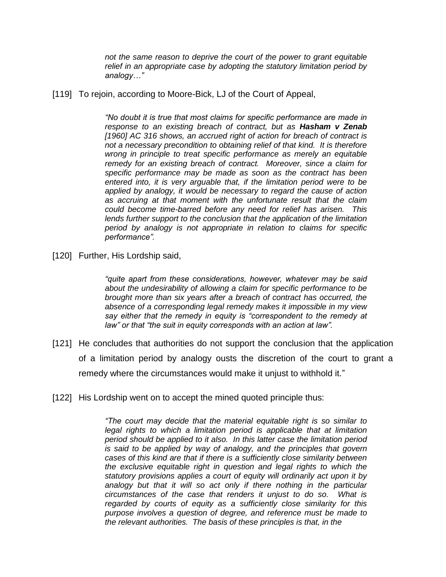*not the same reason to deprive the court of the power to grant equitable relief in an appropriate case by adopting the statutory limitation period by analogy…"*

[119] To rejoin, according to Moore-Bick, LJ of the Court of Appeal,

*"No doubt it is true that most claims for specific performance are made in response to an existing breach of contract, but as Hasham v Zenab [1960] AC 316 shows, an accrued right of action for breach of contract is not a necessary precondition to obtaining relief of that kind. It is therefore wrong in principle to treat specific performance as merely an equitable remedy for an existing breach of contract. Moreover, since a claim for specific performance may be made as soon as the contract has been entered into, it is very arguable that, if the limitation period were to be applied by analogy, it would be necessary to regard the cause of action as accruing at that moment with the unfortunate result that the claim could become time-barred before any need for relief has arisen. This lends further support to the conclusion that the application of the limitation period by analogy is not appropriate in relation to claims for specific performance".*

[120] Further, His Lordship said,

*"quite apart from these considerations, however, whatever may be said about the undesirability of allowing a claim for specific performance to be brought more than six years after a breach of contract has occurred, the absence of a corresponding legal remedy makes it impossible in my view say either that the remedy in equity is "correspondent to the remedy at law" or that "the suit in equity corresponds with an action at law".* 

- [121] He concludes that authorities do not support the conclusion that the application of a limitation period by analogy ousts the discretion of the court to grant a remedy where the circumstances would make it unjust to withhold it."
- [122] His Lordship went on to accept the mined quoted principle thus:

*"The court may decide that the material equitable right is so similar to*  legal rights to which a limitation period is applicable that at limitation *period should be applied to it also. In this latter case the limitation period is said to be applied by way of analogy, and the principles that govern cases of this kind are that if there is a sufficiently close similarity between the exclusive equitable right in question and legal rights to which the statutory provisions applies a court of equity will ordinarily act upon it by analogy but that it will so act only if there nothing in the particular circumstances of the case that renders it unjust to do so. What is regarded by courts of equity as a sufficiently close similarity for this purpose involves a question of degree, and reference must be made to the relevant authorities. The basis of these principles is that, in the*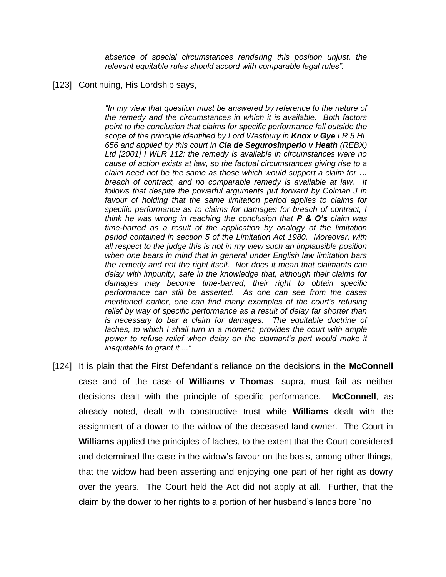*absence of special circumstances rendering this position unjust, the relevant equitable rules should accord with comparable legal rules".* 

#### [123] Continuing, His Lordship says,

*"In my view that question must be answered by reference to the nature of the remedy and the circumstances in which it is available. Both factors point to the conclusion that claims for specific performance fall outside the scope of the principle identified by Lord Westbury in Knox v Gye LR 5 HL 656 and applied by this court in Cia de SegurosImperio v Heath (REBX) Ltd [2001] I WLR 112: the remedy is available in circumstances were no cause of action exists at law, so the factual circumstances giving rise to a claim need not be the same as those which would support a claim for … breach of contract, and no comparable remedy is available at law. It follows that despite the powerful arguments put forward by Colman J in favour of holding that the same limitation period applies to claims for specific performance as to claims for damages for breach of contract, I think he was wrong in reaching the conclusion that P & O's claim was time-barred as a result of the application by analogy of the limitation period contained in section 5 of the Limitation Act 1980. Moreover, with all respect to the judge this is not in my view such an implausible position when one bears in mind that in general under English law limitation bars the remedy and not the right itself. Nor does it mean that claimants can delay with impunity, safe in the knowledge that, although their claims for damages may become time-barred, their right to obtain specific performance can still be asserted. As one can see from the cases mentioned earlier, one can find many examples of the court's refusing relief by way of specific performance as a result of delay far shorter than is necessary to bar a claim for damages. The equitable doctrine of laches, to which I shall turn in a moment, provides the court with ample power to refuse relief when delay on the claimant's part would make it inequitable to grant it ..."*

[124] It is plain that the First Defendant's reliance on the decisions in the **McConnell**  case and of the case of **Williams v Thomas**, supra, must fail as neither decisions dealt with the principle of specific performance. **McConnell**, as already noted, dealt with constructive trust while **Williams** dealt with the assignment of a dower to the widow of the deceased land owner. The Court in **Williams** applied the principles of laches, to the extent that the Court considered and determined the case in the widow's favour on the basis, among other things, that the widow had been asserting and enjoying one part of her right as dowry over the years. The Court held the Act did not apply at all. Further, that the claim by the dower to her rights to a portion of her husband's lands bore "no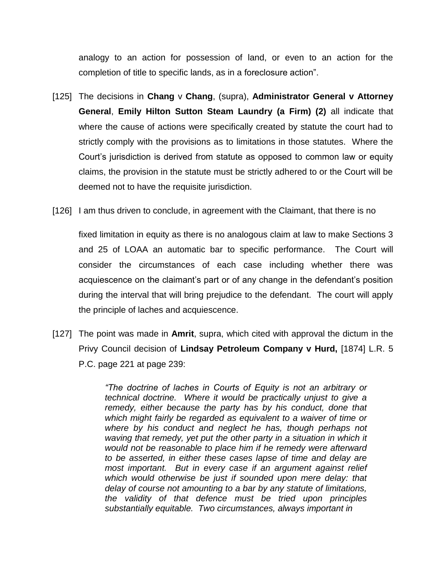analogy to an action for possession of land, or even to an action for the completion of title to specific lands, as in a foreclosure action".

- [125] The decisions in **Chang** v **Chang**, (supra), **Administrator General v Attorney General**, **Emily Hilton Sutton Steam Laundry (a Firm) (2)** all indicate that where the cause of actions were specifically created by statute the court had to strictly comply with the provisions as to limitations in those statutes. Where the Court's jurisdiction is derived from statute as opposed to common law or equity claims, the provision in the statute must be strictly adhered to or the Court will be deemed not to have the requisite jurisdiction.
- [126] I am thus driven to conclude, in agreement with the Claimant, that there is no

fixed limitation in equity as there is no analogous claim at law to make Sections 3 and 25 of LOAA an automatic bar to specific performance. The Court will consider the circumstances of each case including whether there was acquiescence on the claimant's part or of any change in the defendant's position during the interval that will bring prejudice to the defendant. The court will apply the principle of laches and acquiescence.

[127] The point was made in **Amrit**, supra, which cited with approval the dictum in the Privy Council decision of **Lindsay Petroleum Company v Hurd,** [1874] L.R. 5 P.C. page 221 at page 239:

> *"The doctrine of laches in Courts of Equity is not an arbitrary or technical doctrine. Where it would be practically unjust to give a remedy, either because the party has by his conduct, done that which might fairly be regarded as equivalent to a waiver of time or where by his conduct and neglect he has, though perhaps not waving that remedy, yet put the other party in a situation in which it would not be reasonable to place him if he remedy were afterward to be asserted, in either these cases lapse of time and delay are most important. But in every case if an argument against relief which would otherwise be just if sounded upon mere delay: that delay of course not amounting to a bar by any statute of limitations, the validity of that defence must be tried upon principles substantially equitable. Two circumstances, always important in*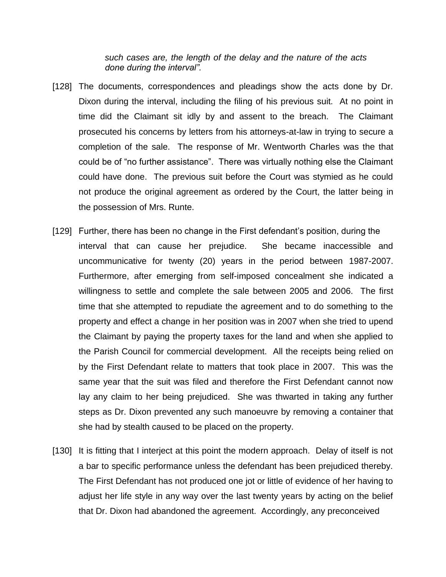*such cases are, the length of the delay and the nature of the acts done during the interval".*

- [128] The documents, correspondences and pleadings show the acts done by Dr. Dixon during the interval, including the filing of his previous suit. At no point in time did the Claimant sit idly by and assent to the breach. The Claimant prosecuted his concerns by letters from his attorneys-at-law in trying to secure a completion of the sale. The response of Mr. Wentworth Charles was the that could be of "no further assistance". There was virtually nothing else the Claimant could have done. The previous suit before the Court was stymied as he could not produce the original agreement as ordered by the Court, the latter being in the possession of Mrs. Runte.
- [129] Further, there has been no change in the First defendant's position, during the interval that can cause her prejudice. She became inaccessible and uncommunicative for twenty (20) years in the period between 1987-2007. Furthermore, after emerging from self-imposed concealment she indicated a willingness to settle and complete the sale between 2005 and 2006. The first time that she attempted to repudiate the agreement and to do something to the property and effect a change in her position was in 2007 when she tried to upend the Claimant by paying the property taxes for the land and when she applied to the Parish Council for commercial development. All the receipts being relied on by the First Defendant relate to matters that took place in 2007. This was the same year that the suit was filed and therefore the First Defendant cannot now lay any claim to her being prejudiced. She was thwarted in taking any further steps as Dr. Dixon prevented any such manoeuvre by removing a container that she had by stealth caused to be placed on the property.
- [130] It is fitting that I interject at this point the modern approach. Delay of itself is not a bar to specific performance unless the defendant has been prejudiced thereby. The First Defendant has not produced one jot or little of evidence of her having to adjust her life style in any way over the last twenty years by acting on the belief that Dr. Dixon had abandoned the agreement. Accordingly, any preconceived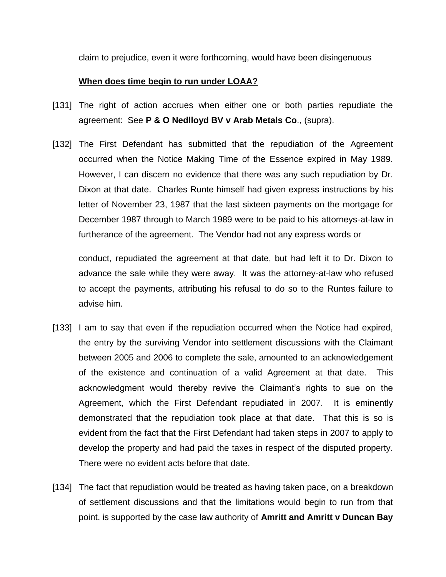claim to prejudice, even it were forthcoming, would have been disingenuous

#### **When does time begin to run under LOAA?**

- [131] The right of action accrues when either one or both parties repudiate the agreement: See **P & O Nedlloyd BV v Arab Metals Co**., (supra).
- [132] The First Defendant has submitted that the repudiation of the Agreement occurred when the Notice Making Time of the Essence expired in May 1989. However, I can discern no evidence that there was any such repudiation by Dr. Dixon at that date. Charles Runte himself had given express instructions by his letter of November 23, 1987 that the last sixteen payments on the mortgage for December 1987 through to March 1989 were to be paid to his attorneys-at-law in furtherance of the agreement. The Vendor had not any express words or

conduct, repudiated the agreement at that date, but had left it to Dr. Dixon to advance the sale while they were away. It was the attorney-at-law who refused to accept the payments, attributing his refusal to do so to the Runtes failure to advise him.

- [133] I am to say that even if the repudiation occurred when the Notice had expired, the entry by the surviving Vendor into settlement discussions with the Claimant between 2005 and 2006 to complete the sale, amounted to an acknowledgement of the existence and continuation of a valid Agreement at that date. This acknowledgment would thereby revive the Claimant's rights to sue on the Agreement, which the First Defendant repudiated in 2007. It is eminently demonstrated that the repudiation took place at that date. That this is so is evident from the fact that the First Defendant had taken steps in 2007 to apply to develop the property and had paid the taxes in respect of the disputed property. There were no evident acts before that date.
- [134] The fact that repudiation would be treated as having taken pace, on a breakdown of settlement discussions and that the limitations would begin to run from that point, is supported by the case law authority of **Amritt and Amritt v Duncan Bay**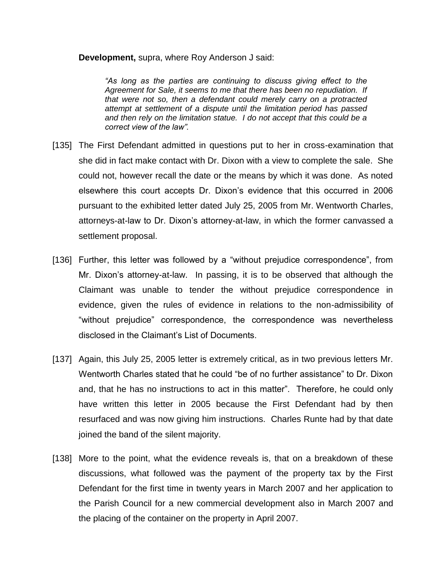**Development,** supra, where Roy Anderson J said:

*"As long as the parties are continuing to discuss giving effect to the Agreement for Sale, it seems to me that there has been no repudiation. If that were not so, then a defendant could merely carry on a protracted attempt at settlement of a dispute until the limitation period has passed and then rely on the limitation statue. I do not accept that this could be a correct view of the law".*

- [135] The First Defendant admitted in questions put to her in cross-examination that she did in fact make contact with Dr. Dixon with a view to complete the sale. She could not, however recall the date or the means by which it was done. As noted elsewhere this court accepts Dr. Dixon's evidence that this occurred in 2006 pursuant to the exhibited letter dated July 25, 2005 from Mr. Wentworth Charles, attorneys-at-law to Dr. Dixon's attorney-at-law, in which the former canvassed a settlement proposal.
- [136] Further, this letter was followed by a "without prejudice correspondence", from Mr. Dixon's attorney-at-law. In passing, it is to be observed that although the Claimant was unable to tender the without prejudice correspondence in evidence, given the rules of evidence in relations to the non-admissibility of "without prejudice" correspondence, the correspondence was nevertheless disclosed in the Claimant's List of Documents.
- [137] Again, this July 25, 2005 letter is extremely critical, as in two previous letters Mr. Wentworth Charles stated that he could "be of no further assistance" to Dr. Dixon and, that he has no instructions to act in this matter". Therefore, he could only have written this letter in 2005 because the First Defendant had by then resurfaced and was now giving him instructions. Charles Runte had by that date joined the band of the silent majority.
- [138] More to the point, what the evidence reveals is, that on a breakdown of these discussions, what followed was the payment of the property tax by the First Defendant for the first time in twenty years in March 2007 and her application to the Parish Council for a new commercial development also in March 2007 and the placing of the container on the property in April 2007.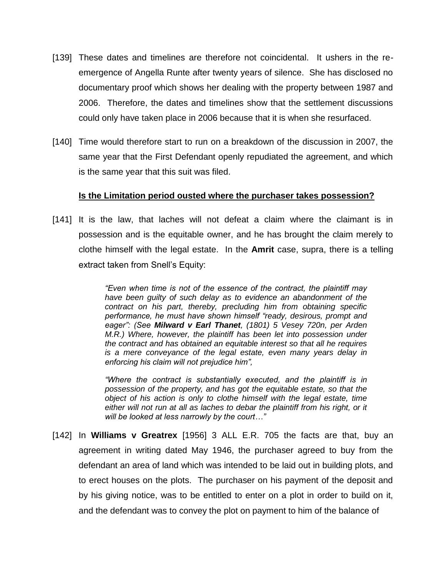- [139] These dates and timelines are therefore not coincidental. It ushers in the reemergence of Angella Runte after twenty years of silence. She has disclosed no documentary proof which shows her dealing with the property between 1987 and 2006. Therefore, the dates and timelines show that the settlement discussions could only have taken place in 2006 because that it is when she resurfaced.
- [140] Time would therefore start to run on a breakdown of the discussion in 2007, the same year that the First Defendant openly repudiated the agreement, and which is the same year that this suit was filed.

## **Is the Limitation period ousted where the purchaser takes possession?**

[141] It is the law, that laches will not defeat a claim where the claimant is in possession and is the equitable owner, and he has brought the claim merely to clothe himself with the legal estate. In the **Amrit** case, supra, there is a telling extract taken from Snell's Equity:

> *"Even when time is not of the essence of the contract, the plaintiff may have been guilty of such delay as to evidence an abandonment of the contract on his part, thereby, precluding him from obtaining specific performance, he must have shown himself "ready, desirous, prompt and eager": (See Milward v Earl Thanet, (1801) 5 Vesey 720n, per Arden M.R.) Where, however, the plaintiff has been let into possession under the contract and has obtained an equitable interest so that all he requires is a mere conveyance of the legal estate, even many years delay in enforcing his claim will not prejudice him",*

> *"Where the contract is substantially executed, and the plaintiff is in possession of the property, and has got the equitable estate, so that the object of his action is only to clothe himself with the legal estate, time*  either will not run at all as laches to debar the plaintiff from his right, or it *will be looked at less narrowly by the court…"*

[142] In **Williams v Greatrex** [1956] 3 ALL E.R. 705 the facts are that, buy an agreement in writing dated May 1946, the purchaser agreed to buy from the defendant an area of land which was intended to be laid out in building plots, and to erect houses on the plots. The purchaser on his payment of the deposit and by his giving notice, was to be entitled to enter on a plot in order to build on it, and the defendant was to convey the plot on payment to him of the balance of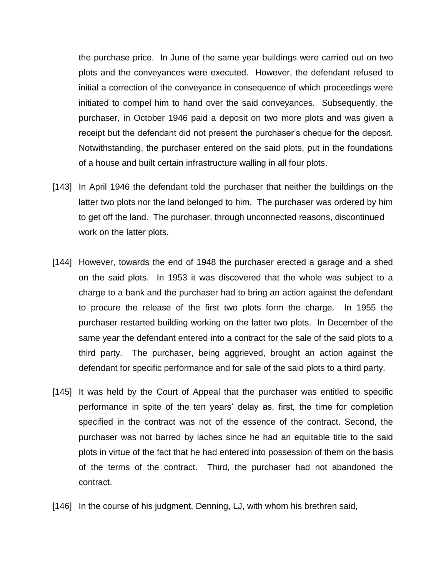the purchase price. In June of the same year buildings were carried out on two plots and the conveyances were executed. However, the defendant refused to initial a correction of the conveyance in consequence of which proceedings were initiated to compel him to hand over the said conveyances. Subsequently, the purchaser, in October 1946 paid a deposit on two more plots and was given a receipt but the defendant did not present the purchaser's cheque for the deposit. Notwithstanding, the purchaser entered on the said plots, put in the foundations of a house and built certain infrastructure walling in all four plots.

- [143] In April 1946 the defendant told the purchaser that neither the buildings on the latter two plots nor the land belonged to him. The purchaser was ordered by him to get off the land. The purchaser, through unconnected reasons, discontinued work on the latter plots.
- [144] However, towards the end of 1948 the purchaser erected a garage and a shed on the said plots. In 1953 it was discovered that the whole was subject to a charge to a bank and the purchaser had to bring an action against the defendant to procure the release of the first two plots form the charge. In 1955 the purchaser restarted building working on the latter two plots. In December of the same year the defendant entered into a contract for the sale of the said plots to a third party. The purchaser, being aggrieved, brought an action against the defendant for specific performance and for sale of the said plots to a third party.
- [145] It was held by the Court of Appeal that the purchaser was entitled to specific performance in spite of the ten years' delay as, first, the time for completion specified in the contract was not of the essence of the contract. Second, the purchaser was not barred by laches since he had an equitable title to the said plots in virtue of the fact that he had entered into possession of them on the basis of the terms of the contract. Third, the purchaser had not abandoned the contract.
- [146] In the course of his judgment, Denning, LJ, with whom his brethren said,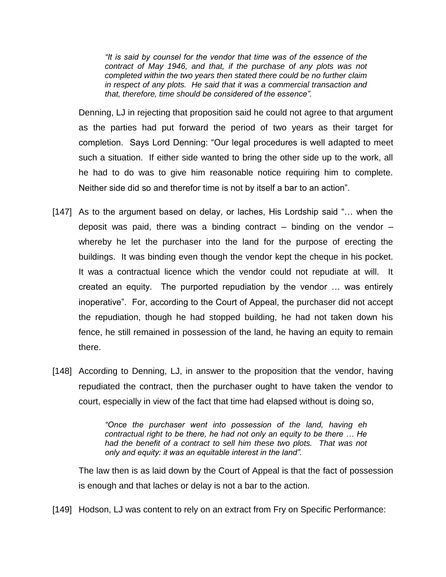*"It is said by counsel for the vendor that time was of the essence of the contract of May 1946, and that, if the purchase of any plots was not completed within the two years then stated there could be no further claim in respect of any plots. He said that it was a commercial transaction and that, therefore, time should be considered of the essence".* 

Denning, LJ in rejecting that proposition said he could not agree to that argument as the parties had put forward the period of two years as their target for completion. Says Lord Denning: "Our legal procedures is well adapted to meet such a situation. If either side wanted to bring the other side up to the work, all he had to do was to give him reasonable notice requiring him to complete. Neither side did so and therefor time is not by itself a bar to an action".

- [147] As to the argument based on delay, or laches, His Lordship said "... when the deposit was paid, there was a binding contract  $-$  binding on the vendor  $$ whereby he let the purchaser into the land for the purpose of erecting the buildings. It was binding even though the vendor kept the cheque in his pocket. It was a contractual licence which the vendor could not repudiate at will. It created an equity. The purported repudiation by the vendor … was entirely inoperative". For, according to the Court of Appeal, the purchaser did not accept the repudiation, though he had stopped building, he had not taken down his fence, he still remained in possession of the land, he having an equity to remain there.
- [148] According to Denning, LJ, in answer to the proposition that the vendor, having repudiated the contract, then the purchaser ought to have taken the vendor to court, especially in view of the fact that time had elapsed without is doing so,

*"Once the purchaser went into possession of the land, having eh contractual right to be there, he had not only an equity to be there … He had the benefit of a contract to sell him these two plots. That was not only and equity: it was an equitable interest in the land".* 

The law then is as laid down by the Court of Appeal is that the fact of possession is enough and that laches or delay is not a bar to the action.

[149] Hodson, LJ was content to rely on an extract from Fry on Specific Performance: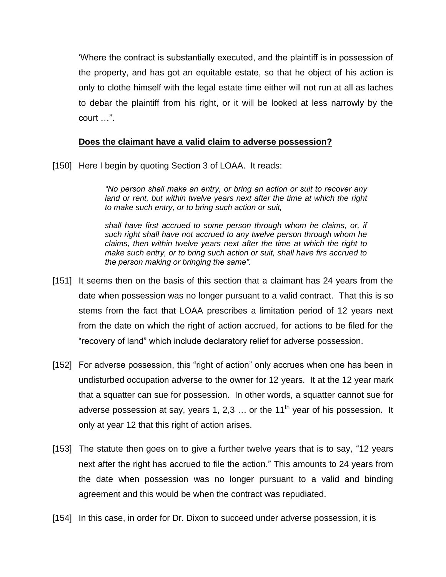'Where the contract is substantially executed, and the plaintiff is in possession of the property, and has got an equitable estate, so that he object of his action is only to clothe himself with the legal estate time either will not run at all as laches to debar the plaintiff from his right, or it will be looked at less narrowly by the court …".

## **Does the claimant have a valid claim to adverse possession?**

[150] Here I begin by quoting Section 3 of LOAA. It reads:

*"No person shall make an entry, or bring an action or suit to recover any land or rent, but within twelve years next after the time at which the right to make such entry, or to bring such action or suit,*

*shall have first accrued to some person through whom he claims, or, if such right shall have not accrued to any twelve person through whom he claims, then within twelve years next after the time at which the right to make such entry, or to bring such action or suit, shall have firs accrued to the person making or bringing the same".*

- [151] It seems then on the basis of this section that a claimant has 24 years from the date when possession was no longer pursuant to a valid contract. That this is so stems from the fact that LOAA prescribes a limitation period of 12 years next from the date on which the right of action accrued, for actions to be filed for the "recovery of land" which include declaratory relief for adverse possession.
- [152] For adverse possession, this "right of action" only accrues when one has been in undisturbed occupation adverse to the owner for 12 years. It at the 12 year mark that a squatter can sue for possession. In other words, a squatter cannot sue for adverse possession at say, years 1, 2,3  $\ldots$  or the 11<sup>th</sup> year of his possession. It only at year 12 that this right of action arises.
- [153] The statute then goes on to give a further twelve years that is to say, "12 years next after the right has accrued to file the action." This amounts to 24 years from the date when possession was no longer pursuant to a valid and binding agreement and this would be when the contract was repudiated.
- [154] In this case, in order for Dr. Dixon to succeed under adverse possession, it is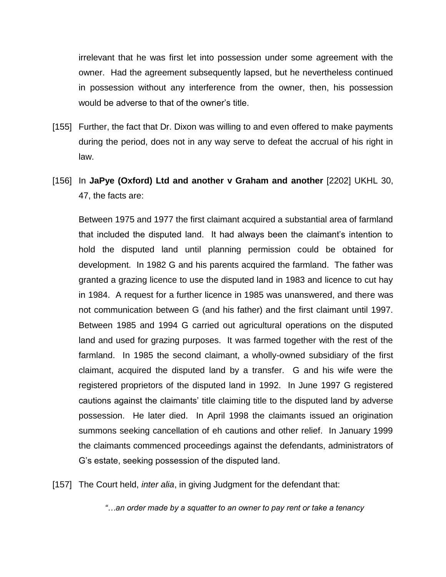irrelevant that he was first let into possession under some agreement with the owner. Had the agreement subsequently lapsed, but he nevertheless continued in possession without any interference from the owner, then, his possession would be adverse to that of the owner's title.

- [155] Further, the fact that Dr. Dixon was willing to and even offered to make payments during the period, does not in any way serve to defeat the accrual of his right in law.
- [156] In **JaPye (Oxford) Ltd and another v Graham and another** [2202] UKHL 30, 47, the facts are:

Between 1975 and 1977 the first claimant acquired a substantial area of farmland that included the disputed land. It had always been the claimant's intention to hold the disputed land until planning permission could be obtained for development. In 1982 G and his parents acquired the farmland. The father was granted a grazing licence to use the disputed land in 1983 and licence to cut hay in 1984. A request for a further licence in 1985 was unanswered, and there was not communication between G (and his father) and the first claimant until 1997. Between 1985 and 1994 G carried out agricultural operations on the disputed land and used for grazing purposes. It was farmed together with the rest of the farmland. In 1985 the second claimant, a wholly-owned subsidiary of the first claimant, acquired the disputed land by a transfer. G and his wife were the registered proprietors of the disputed land in 1992. In June 1997 G registered cautions against the claimants' title claiming title to the disputed land by adverse possession. He later died. In April 1998 the claimants issued an origination summons seeking cancellation of eh cautions and other relief. In January 1999 the claimants commenced proceedings against the defendants, administrators of G's estate, seeking possession of the disputed land.

[157] The Court held, *inter alia*, in giving Judgment for the defendant that:

*"…an order made by a squatter to an owner to pay rent or take a tenancy*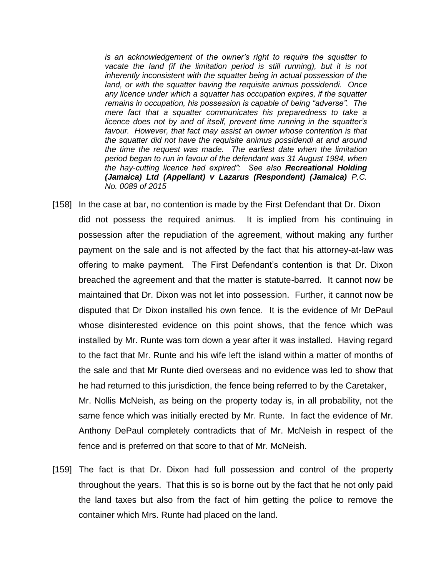*is an acknowledgement of the owner's right to require the squatter to*  vacate the land (if the limitation period is still running), but it is not *inherently inconsistent with the squatter being in actual possession of the land, or with the squatter having the requisite animus possidendi. Once any licence under which a squatter has occupation expires, if the squatter remains in occupation, his possession is capable of being "adverse". The mere fact that a squatter communicates his preparedness to take a licence does not by and of itself, prevent time running in the squatter's favour. However, that fact may assist an owner whose contention is that the squatter did not have the requisite animus possidendi at and around the time the request was made. The earliest date when the limitation period began to run in favour of the defendant was 31 August 1984, when the hay-cutting licence had expired": See also Recreational Holding (Jamaica) Ltd (Appellant) v Lazarus (Respondent) (Jamaica) P.C. No. 0089 of 2015*

[158] In the case at bar, no contention is made by the First Defendant that Dr. Dixon did not possess the required animus. It is implied from his continuing in possession after the repudiation of the agreement, without making any further payment on the sale and is not affected by the fact that his attorney-at-law was offering to make payment. The First Defendant's contention is that Dr. Dixon breached the agreement and that the matter is statute-barred. It cannot now be maintained that Dr. Dixon was not let into possession. Further, it cannot now be disputed that Dr Dixon installed his own fence. It is the evidence of Mr DePaul whose disinterested evidence on this point shows, that the fence which was installed by Mr. Runte was torn down a year after it was installed. Having regard to the fact that Mr. Runte and his wife left the island within a matter of months of the sale and that Mr Runte died overseas and no evidence was led to show that he had returned to this jurisdiction, the fence being referred to by the Caretaker, Mr. Nollis McNeish, as being on the property today is, in all probability, not the

same fence which was initially erected by Mr. Runte. In fact the evidence of Mr. Anthony DePaul completely contradicts that of Mr. McNeish in respect of the fence and is preferred on that score to that of Mr. McNeish.

[159] The fact is that Dr. Dixon had full possession and control of the property throughout the years. That this is so is borne out by the fact that he not only paid the land taxes but also from the fact of him getting the police to remove the container which Mrs. Runte had placed on the land.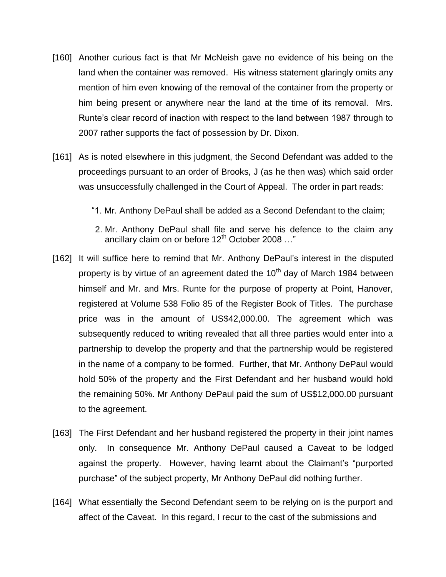- [160] Another curious fact is that Mr McNeish gave no evidence of his being on the land when the container was removed. His witness statement glaringly omits any mention of him even knowing of the removal of the container from the property or him being present or anywhere near the land at the time of its removal. Mrs. Runte's clear record of inaction with respect to the land between 1987 through to 2007 rather supports the fact of possession by Dr. Dixon.
- [161] As is noted elsewhere in this judgment, the Second Defendant was added to the proceedings pursuant to an order of Brooks, J (as he then was) which said order was unsuccessfully challenged in the Court of Appeal. The order in part reads:
	- "1. Mr. Anthony DePaul shall be added as a Second Defendant to the claim;
	- 2. Mr. Anthony DePaul shall file and serve his defence to the claim any ancillary claim on or before  $12^{th}$  October 2008 ..."
- [162] It will suffice here to remind that Mr. Anthony DePaul's interest in the disputed property is by virtue of an agreement dated the  $10<sup>th</sup>$  day of March 1984 between himself and Mr. and Mrs. Runte for the purpose of property at Point, Hanover, registered at Volume 538 Folio 85 of the Register Book of Titles. The purchase price was in the amount of US\$42,000.00. The agreement which was subsequently reduced to writing revealed that all three parties would enter into a partnership to develop the property and that the partnership would be registered in the name of a company to be formed. Further, that Mr. Anthony DePaul would hold 50% of the property and the First Defendant and her husband would hold the remaining 50%. Mr Anthony DePaul paid the sum of US\$12,000.00 pursuant to the agreement.
- [163] The First Defendant and her husband registered the property in their joint names only. In consequence Mr. Anthony DePaul caused a Caveat to be lodged against the property. However, having learnt about the Claimant's "purported purchase" of the subject property, Mr Anthony DePaul did nothing further.
- [164] What essentially the Second Defendant seem to be relying on is the purport and affect of the Caveat. In this regard, I recur to the cast of the submissions and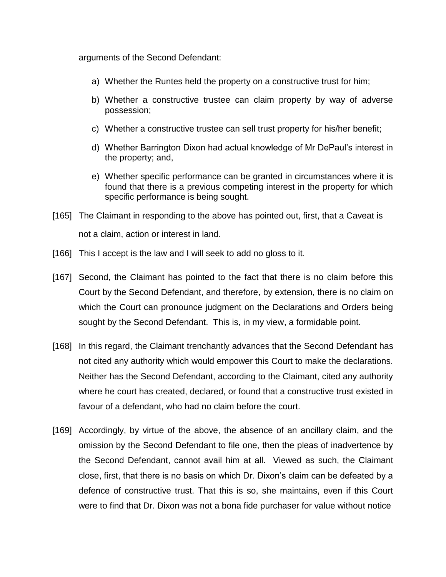arguments of the Second Defendant:

- a) Whether the Runtes held the property on a constructive trust for him;
- b) Whether a constructive trustee can claim property by way of adverse possession;
- c) Whether a constructive trustee can sell trust property for his/her benefit;
- d) Whether Barrington Dixon had actual knowledge of Mr DePaul's interest in the property; and,
- e) Whether specific performance can be granted in circumstances where it is found that there is a previous competing interest in the property for which specific performance is being sought.
- [165] The Claimant in responding to the above has pointed out, first, that a Caveat is not a claim, action or interest in land.
- [166] This I accept is the law and I will seek to add no gloss to it.
- [167] Second, the Claimant has pointed to the fact that there is no claim before this Court by the Second Defendant, and therefore, by extension, there is no claim on which the Court can pronounce judgment on the Declarations and Orders being sought by the Second Defendant. This is, in my view, a formidable point.
- [168] In this regard, the Claimant trenchantly advances that the Second Defendant has not cited any authority which would empower this Court to make the declarations. Neither has the Second Defendant, according to the Claimant, cited any authority where he court has created, declared, or found that a constructive trust existed in favour of a defendant, who had no claim before the court.
- [169] Accordingly, by virtue of the above, the absence of an ancillary claim, and the omission by the Second Defendant to file one, then the pleas of inadvertence by the Second Defendant, cannot avail him at all. Viewed as such, the Claimant close, first, that there is no basis on which Dr. Dixon's claim can be defeated by a defence of constructive trust. That this is so, she maintains, even if this Court were to find that Dr. Dixon was not a bona fide purchaser for value without notice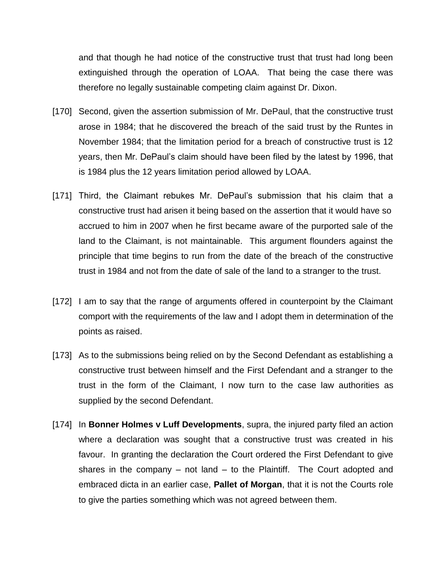and that though he had notice of the constructive trust that trust had long been extinguished through the operation of LOAA. That being the case there was therefore no legally sustainable competing claim against Dr. Dixon.

- [170] Second, given the assertion submission of Mr. DePaul, that the constructive trust arose in 1984; that he discovered the breach of the said trust by the Runtes in November 1984; that the limitation period for a breach of constructive trust is 12 years, then Mr. DePaul's claim should have been filed by the latest by 1996, that is 1984 plus the 12 years limitation period allowed by LOAA.
- [171] Third, the Claimant rebukes Mr. DePaul's submission that his claim that a constructive trust had arisen it being based on the assertion that it would have so accrued to him in 2007 when he first became aware of the purported sale of the land to the Claimant, is not maintainable. This argument flounders against the principle that time begins to run from the date of the breach of the constructive trust in 1984 and not from the date of sale of the land to a stranger to the trust.
- [172] I am to say that the range of arguments offered in counterpoint by the Claimant comport with the requirements of the law and I adopt them in determination of the points as raised.
- [173] As to the submissions being relied on by the Second Defendant as establishing a constructive trust between himself and the First Defendant and a stranger to the trust in the form of the Claimant, I now turn to the case law authorities as supplied by the second Defendant.
- [174] In **Bonner Holmes v Luff Developments**, supra, the injured party filed an action where a declaration was sought that a constructive trust was created in his favour. In granting the declaration the Court ordered the First Defendant to give shares in the company – not land – to the Plaintiff. The Court adopted and embraced dicta in an earlier case, **Pallet of Morgan**, that it is not the Courts role to give the parties something which was not agreed between them.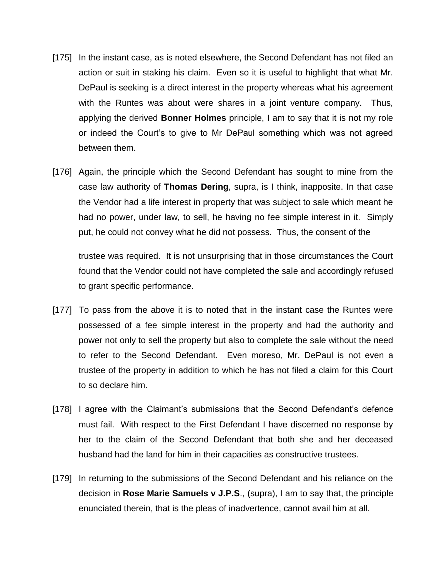- [175] In the instant case, as is noted elsewhere, the Second Defendant has not filed an action or suit in staking his claim. Even so it is useful to highlight that what Mr. DePaul is seeking is a direct interest in the property whereas what his agreement with the Runtes was about were shares in a joint venture company. Thus, applying the derived **Bonner Holmes** principle, I am to say that it is not my role or indeed the Court's to give to Mr DePaul something which was not agreed between them.
- [176] Again, the principle which the Second Defendant has sought to mine from the case law authority of **Thomas Dering**, supra, is I think, inapposite. In that case the Vendor had a life interest in property that was subject to sale which meant he had no power, under law, to sell, he having no fee simple interest in it. Simply put, he could not convey what he did not possess. Thus, the consent of the

trustee was required. It is not unsurprising that in those circumstances the Court found that the Vendor could not have completed the sale and accordingly refused to grant specific performance.

- [177] To pass from the above it is to noted that in the instant case the Runtes were possessed of a fee simple interest in the property and had the authority and power not only to sell the property but also to complete the sale without the need to refer to the Second Defendant. Even moreso, Mr. DePaul is not even a trustee of the property in addition to which he has not filed a claim for this Court to so declare him.
- [178] I agree with the Claimant's submissions that the Second Defendant's defence must fail. With respect to the First Defendant I have discerned no response by her to the claim of the Second Defendant that both she and her deceased husband had the land for him in their capacities as constructive trustees.
- [179] In returning to the submissions of the Second Defendant and his reliance on the decision in **Rose Marie Samuels v J.P.S**., (supra), I am to say that, the principle enunciated therein, that is the pleas of inadvertence, cannot avail him at all.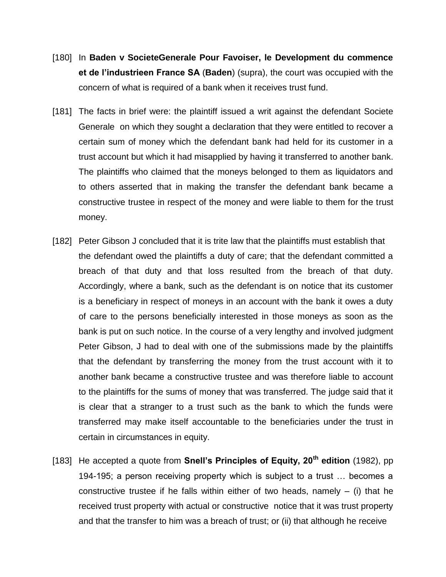- [180] In **Baden v SocieteGenerale Pour Favoiser, le Development du commence et de l'industrieen France SA** (**Baden**) (supra), the court was occupied with the concern of what is required of a bank when it receives trust fund.
- [181] The facts in brief were: the plaintiff issued a writ against the defendant Societe Generale on which they sought a declaration that they were entitled to recover a certain sum of money which the defendant bank had held for its customer in a trust account but which it had misapplied by having it transferred to another bank. The plaintiffs who claimed that the moneys belonged to them as liquidators and to others asserted that in making the transfer the defendant bank became a constructive trustee in respect of the money and were liable to them for the trust money.
- [182] Peter Gibson J concluded that it is trite law that the plaintiffs must establish that the defendant owed the plaintiffs a duty of care; that the defendant committed a breach of that duty and that loss resulted from the breach of that duty. Accordingly, where a bank, such as the defendant is on notice that its customer is a beneficiary in respect of moneys in an account with the bank it owes a duty of care to the persons beneficially interested in those moneys as soon as the bank is put on such notice. In the course of a very lengthy and involved judgment Peter Gibson, J had to deal with one of the submissions made by the plaintiffs that the defendant by transferring the money from the trust account with it to another bank became a constructive trustee and was therefore liable to account to the plaintiffs for the sums of money that was transferred. The judge said that it is clear that a stranger to a trust such as the bank to which the funds were transferred may make itself accountable to the beneficiaries under the trust in certain in circumstances in equity.
- [183] He accepted a quote from **Snell's Principles of Equity, 20th edition** (1982), pp 194-195; a person receiving property which is subject to a trust … becomes a constructive trustee if he falls within either of two heads, namely  $-$  (i) that he received trust property with actual or constructive notice that it was trust property and that the transfer to him was a breach of trust; or (ii) that although he receive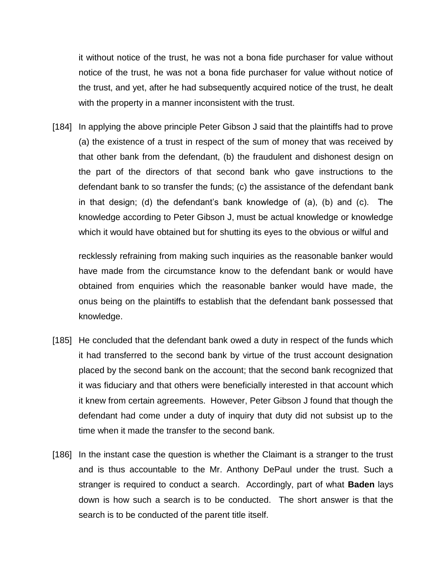it without notice of the trust, he was not a bona fide purchaser for value without notice of the trust, he was not a bona fide purchaser for value without notice of the trust, and yet, after he had subsequently acquired notice of the trust, he dealt with the property in a manner inconsistent with the trust.

[184] In applying the above principle Peter Gibson J said that the plaintiffs had to prove (a) the existence of a trust in respect of the sum of money that was received by that other bank from the defendant, (b) the fraudulent and dishonest design on the part of the directors of that second bank who gave instructions to the defendant bank to so transfer the funds; (c) the assistance of the defendant bank in that design; (d) the defendant's bank knowledge of (a), (b) and (c). The knowledge according to Peter Gibson J, must be actual knowledge or knowledge which it would have obtained but for shutting its eyes to the obvious or wilful and

recklessly refraining from making such inquiries as the reasonable banker would have made from the circumstance know to the defendant bank or would have obtained from enquiries which the reasonable banker would have made, the onus being on the plaintiffs to establish that the defendant bank possessed that knowledge.

- [185] He concluded that the defendant bank owed a duty in respect of the funds which it had transferred to the second bank by virtue of the trust account designation placed by the second bank on the account; that the second bank recognized that it was fiduciary and that others were beneficially interested in that account which it knew from certain agreements. However, Peter Gibson J found that though the defendant had come under a duty of inquiry that duty did not subsist up to the time when it made the transfer to the second bank.
- [186] In the instant case the question is whether the Claimant is a stranger to the trust and is thus accountable to the Mr. Anthony DePaul under the trust. Such a stranger is required to conduct a search. Accordingly, part of what **Baden** lays down is how such a search is to be conducted. The short answer is that the search is to be conducted of the parent title itself.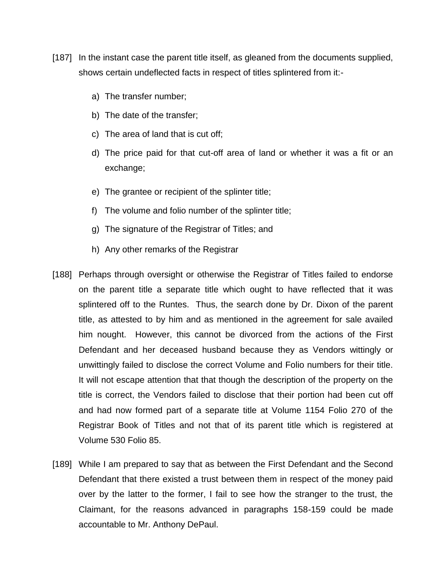- [187] In the instant case the parent title itself, as gleaned from the documents supplied, shows certain undeflected facts in respect of titles splintered from it:
	- a) The transfer number;
	- b) The date of the transfer;
	- c) The area of land that is cut off;
	- d) The price paid for that cut-off area of land or whether it was a fit or an exchange;
	- e) The grantee or recipient of the splinter title;
	- f) The volume and folio number of the splinter title;
	- g) The signature of the Registrar of Titles; and
	- h) Any other remarks of the Registrar
- [188] Perhaps through oversight or otherwise the Registrar of Titles failed to endorse on the parent title a separate title which ought to have reflected that it was splintered off to the Runtes. Thus, the search done by Dr. Dixon of the parent title, as attested to by him and as mentioned in the agreement for sale availed him nought. However, this cannot be divorced from the actions of the First Defendant and her deceased husband because they as Vendors wittingly or unwittingly failed to disclose the correct Volume and Folio numbers for their title. It will not escape attention that that though the description of the property on the title is correct, the Vendors failed to disclose that their portion had been cut off and had now formed part of a separate title at Volume 1154 Folio 270 of the Registrar Book of Titles and not that of its parent title which is registered at Volume 530 Folio 85.
- [189] While I am prepared to say that as between the First Defendant and the Second Defendant that there existed a trust between them in respect of the money paid over by the latter to the former, I fail to see how the stranger to the trust, the Claimant, for the reasons advanced in paragraphs 158-159 could be made accountable to Mr. Anthony DePaul.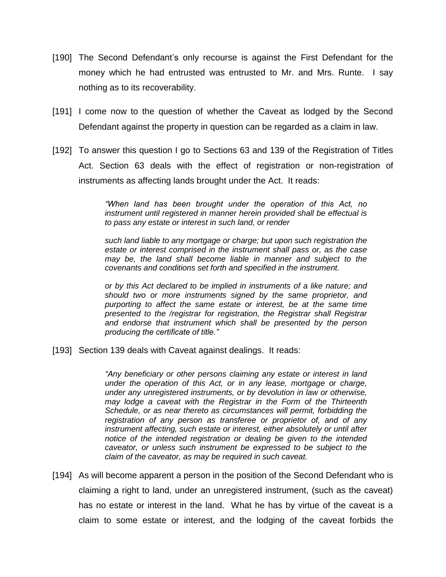- [190] The Second Defendant's only recourse is against the First Defendant for the money which he had entrusted was entrusted to Mr. and Mrs. Runte. I say nothing as to its recoverability.
- [191] I come now to the question of whether the Caveat as lodged by the Second Defendant against the property in question can be regarded as a claim in law.
- [192] To answer this question I go to Sections 63 and 139 of the Registration of Titles Act. Section 63 deals with the effect of registration or non-registration of instruments as affecting lands brought under the Act. It reads:

*"When land has been brought under the operation of this Act, no instrument until registered in manner herein provided shall be effectual is to pass any estate or interest in such land, or render*

*such land liable to any mortgage or charge; but upon such registration the estate or interest comprised in the instrument shall pass or, as the case may be, the land shall become liable in manner and subject to the covenants and conditions set forth and specified in the instrument.*

*or by this Act declared to be implied in instruments of a like nature; and should two or more instruments signed by the same proprietor, and purporting to affect the same estate or interest, be at the same time presented to the /registrar for registration, the Registrar shall Registrar and endorse that instrument which shall be presented by the person producing the certificate of title."*

[193] Section 139 deals with Caveat against dealings. It reads:

*"Any beneficiary or other persons claiming any estate or interest in land under the operation of this Act, or in any lease, mortgage or charge, under any unregistered instruments, or by devolution in law or otherwise, may lodge a caveat with the Registrar in the Form of the Thirteenth Schedule, or as near thereto as circumstances will permit, forbidding the registration of any person as transferee or proprietor of, and of any instrument affecting, such estate or interest, either absolutely or until after notice of the intended registration or dealing be given to the intended caveator, or unless such instrument be expressed to be subject to the claim of the caveator, as may be required in such caveat.*

[194] As will become apparent a person in the position of the Second Defendant who is claiming a right to land, under an unregistered instrument, (such as the caveat) has no estate or interest in the land. What he has by virtue of the caveat is a claim to some estate or interest, and the lodging of the caveat forbids the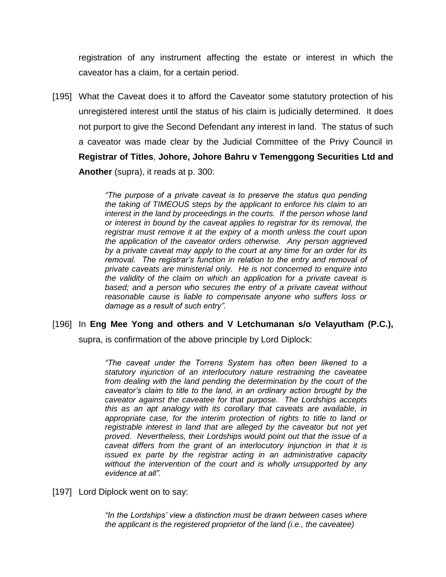registration of any instrument affecting the estate or interest in which the caveator has a claim, for a certain period.

[195] What the Caveat does it to afford the Caveator some statutory protection of his unregistered interest until the status of his claim is judicially determined. It does not purport to give the Second Defendant any interest in land. The status of such a caveator was made clear by the Judicial Committee of the Privy Council in **Registrar of Titles**, **Johore, Johore Bahru v Temenggong Securities Ltd and Another** (supra), it reads at p. 300:

> *"The purpose of a private caveat is to preserve the status quo pending the taking of TIMEOUS steps by the applicant to enforce his claim to an interest in the land by proceedings in the courts. If the person whose land or interest in bound by the caveat applies to registrar for its removal, the registrar must remove it at the expiry of a month unless the court upon the application of the caveator orders otherwise. Any person aggrieved by a private caveat may apply to the court at any time for an order for its removal. The registrar's function in relation to the entry and removal of private caveats are ministerial only. He is not concerned to enquire into the validity of the claim on which an application for a private caveat is based; and a person who secures the entry of a private caveat without reasonable cause is liable to compensate anyone who suffers loss or damage as a result of such entry".*

## [196] In **Eng Mee Yong and others and V Letchumanan s/o Velayutham (P.C.),**

supra, is confirmation of the above principle by Lord Diplock:

*"The caveat under the Torrens System has often been likened to a statutory injunction of an interlocutory nature restraining the caveatee from dealing with the land pending the determination by the court of the caveator's claim to title to the land, in an ordinary action brought by the caveator against the caveatee for that purpose. The Lordships accepts this as an apt analogy with its corollary that caveats are available, in appropriate case, for the interim protection of rights to title to land or registrable interest in land that are alleged by the caveator but not yet proved. Nevertheless, their Lordships would point out that the issue of a caveat differs from the grant of an interlocutory injunction in that it is issued ex parte by the registrar acting in an administrative capacity without the intervention of the court and is wholly unsupported by any evidence at all".*

[197] Lord Diplock went on to say:

*"In the Lordships' view a distinction must be drawn between cases where the applicant is the registered proprietor of the land (i.e., the caveatee)*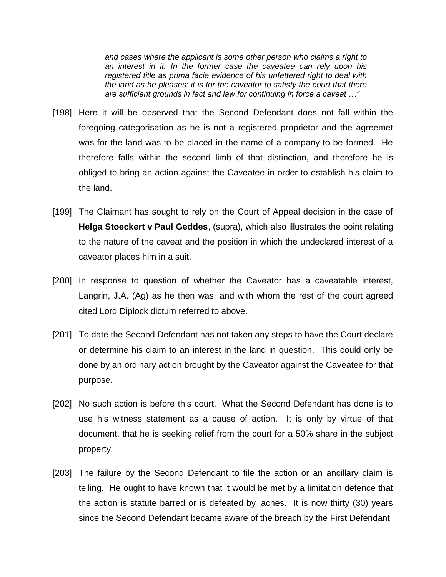*and cases where the applicant is some other person who claims a right to an interest in it. In the former case the caveatee can rely upon his registered title as prima facie evidence of his unfettered right to deal with the land as he pleases; it is for the caveator to satisfy the court that there are sufficient grounds in fact and law for continuing in force a caveat …"*

- [198] Here it will be observed that the Second Defendant does not fall within the foregoing categorisation as he is not a registered proprietor and the agreemet was for the land was to be placed in the name of a company to be formed. He therefore falls within the second limb of that distinction, and therefore he is obliged to bring an action against the Caveatee in order to establish his claim to the land.
- [199] The Claimant has sought to rely on the Court of Appeal decision in the case of **Helga Stoeckert v Paul Geddes**, (supra), which also illustrates the point relating to the nature of the caveat and the position in which the undeclared interest of a caveator places him in a suit.
- [200] In response to question of whether the Caveator has a caveatable interest, Langrin, J.A. (Ag) as he then was, and with whom the rest of the court agreed cited Lord Diplock dictum referred to above.
- [201] To date the Second Defendant has not taken any steps to have the Court declare or determine his claim to an interest in the land in question. This could only be done by an ordinary action brought by the Caveator against the Caveatee for that purpose.
- [202] No such action is before this court. What the Second Defendant has done is to use his witness statement as a cause of action. It is only by virtue of that document, that he is seeking relief from the court for a 50% share in the subject property.
- [203] The failure by the Second Defendant to file the action or an ancillary claim is telling. He ought to have known that it would be met by a limitation defence that the action is statute barred or is defeated by laches. It is now thirty (30) years since the Second Defendant became aware of the breach by the First Defendant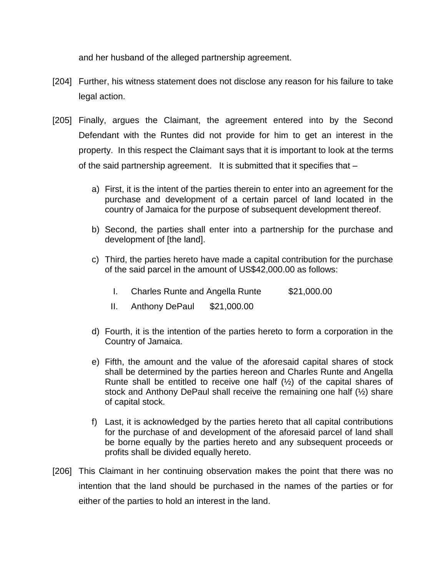and her husband of the alleged partnership agreement.

- [204] Further, his witness statement does not disclose any reason for his failure to take legal action.
- [205] Finally, argues the Claimant, the agreement entered into by the Second Defendant with the Runtes did not provide for him to get an interest in the property. In this respect the Claimant says that it is important to look at the terms of the said partnership agreement. It is submitted that it specifies that –
	- a) First, it is the intent of the parties therein to enter into an agreement for the purchase and development of a certain parcel of land located in the country of Jamaica for the purpose of subsequent development thereof.
	- b) Second, the parties shall enter into a partnership for the purchase and development of [the land].
	- c) Third, the parties hereto have made a capital contribution for the purchase of the said parcel in the amount of US\$42,000.00 as follows:
		- I. Charles Runte and Angella Runte \$21,000.00
		- II. Anthony DePaul \$21,000.00
	- d) Fourth, it is the intention of the parties hereto to form a corporation in the Country of Jamaica.
	- e) Fifth, the amount and the value of the aforesaid capital shares of stock shall be determined by the parties hereon and Charles Runte and Angella Runte shall be entitled to receive one half  $(\frac{1}{2})$  of the capital shares of stock and Anthony DePaul shall receive the remaining one half (½) share of capital stock.
	- f) Last, it is acknowledged by the parties hereto that all capital contributions for the purchase of and development of the aforesaid parcel of land shall be borne equally by the parties hereto and any subsequent proceeds or profits shall be divided equally hereto.
- [206] This Claimant in her continuing observation makes the point that there was no intention that the land should be purchased in the names of the parties or for either of the parties to hold an interest in the land.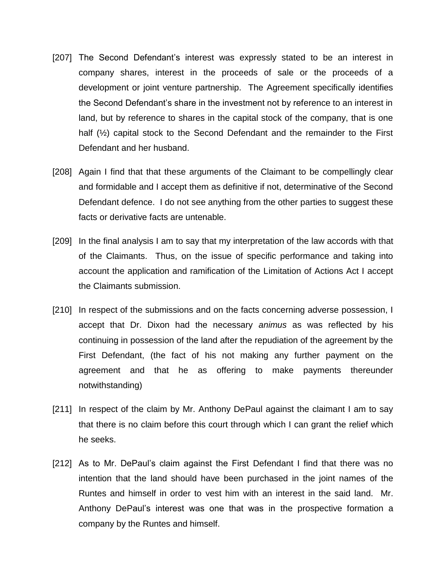- [207] The Second Defendant's interest was expressly stated to be an interest in company shares, interest in the proceeds of sale or the proceeds of a development or joint venture partnership. The Agreement specifically identifies the Second Defendant's share in the investment not by reference to an interest in land, but by reference to shares in the capital stock of the company, that is one half (½) capital stock to the Second Defendant and the remainder to the First Defendant and her husband.
- [208] Again I find that that these arguments of the Claimant to be compellingly clear and formidable and I accept them as definitive if not, determinative of the Second Defendant defence. I do not see anything from the other parties to suggest these facts or derivative facts are untenable.
- [209] In the final analysis I am to say that my interpretation of the law accords with that of the Claimants. Thus, on the issue of specific performance and taking into account the application and ramification of the Limitation of Actions Act I accept the Claimants submission.
- [210] In respect of the submissions and on the facts concerning adverse possession, I accept that Dr. Dixon had the necessary *animus* as was reflected by his continuing in possession of the land after the repudiation of the agreement by the First Defendant, (the fact of his not making any further payment on the agreement and that he as offering to make payments thereunder notwithstanding)
- [211] In respect of the claim by Mr. Anthony DePaul against the claimant I am to say that there is no claim before this court through which I can grant the relief which he seeks.
- [212] As to Mr. DePaul's claim against the First Defendant I find that there was no intention that the land should have been purchased in the joint names of the Runtes and himself in order to vest him with an interest in the said land. Mr. Anthony DePaul's interest was one that was in the prospective formation a company by the Runtes and himself.